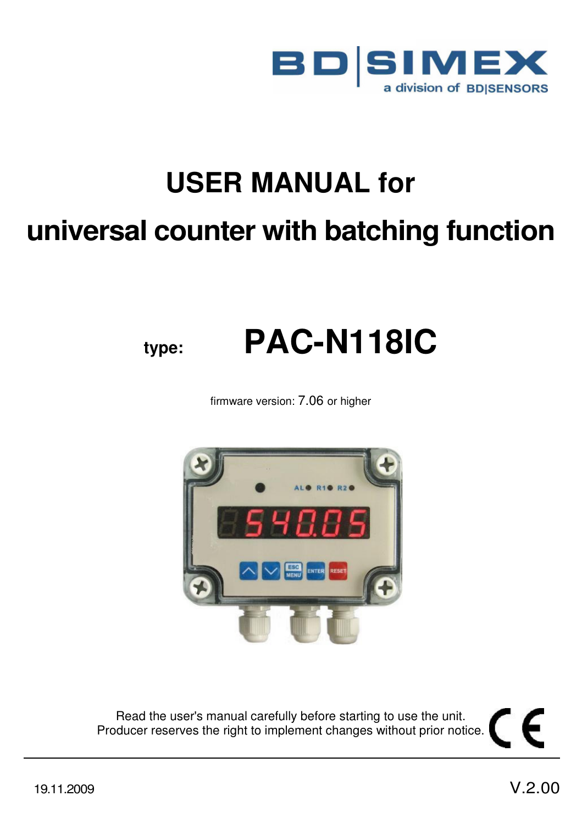

# **USER MANUAL for universal counter with batching function**

# **type: PAC-N118IC**

firmware version: 7.06 or higher



Read the user's manual carefully before starting to use the unit. Producer reserves the right to implement changes without prior notice.

∈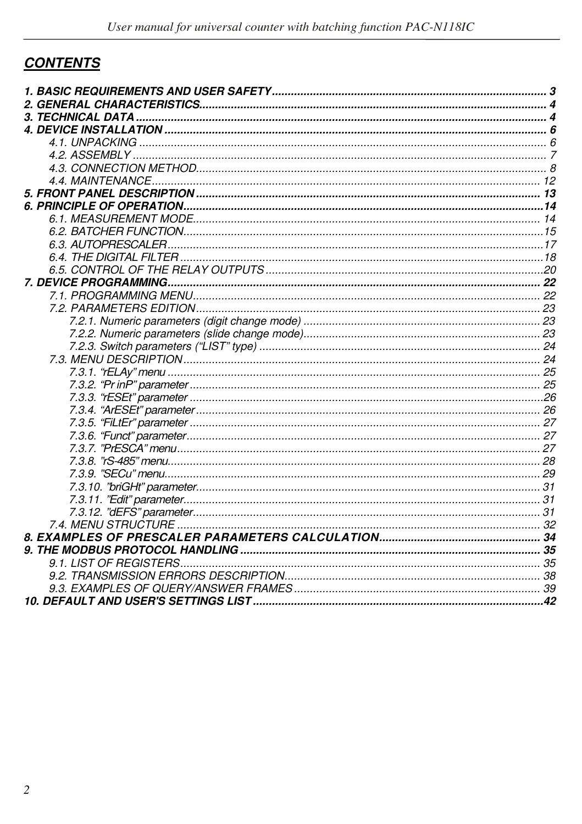# **CONTENTS**

| <i><b>3. TECHNICAL DATA</b></i> |  |
|---------------------------------|--|
|                                 |  |
|                                 |  |
|                                 |  |
|                                 |  |
|                                 |  |
|                                 |  |
|                                 |  |
|                                 |  |
|                                 |  |
|                                 |  |
|                                 |  |
|                                 |  |
|                                 |  |
|                                 |  |
|                                 |  |
|                                 |  |
|                                 |  |
|                                 |  |
|                                 |  |
|                                 |  |
|                                 |  |
|                                 |  |
|                                 |  |
|                                 |  |
|                                 |  |
|                                 |  |
|                                 |  |
|                                 |  |
|                                 |  |
|                                 |  |
|                                 |  |
|                                 |  |
|                                 |  |
|                                 |  |
|                                 |  |
|                                 |  |
|                                 |  |
|                                 |  |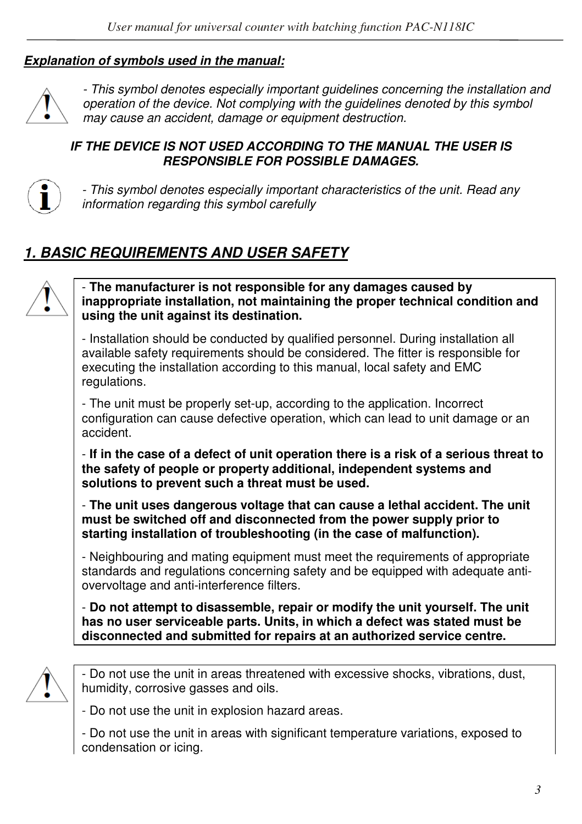#### *Explanation of symbols used in the manual:*



*- This symbol denotes especially important guidelines concerning the installation and operation of the device. Not complying with the guidelines denoted by this symbol may cause an accident, damage or equipment destruction.*

#### *IF THE DEVICE IS NOT USED ACCORDING TO THE MANUAL THE USER IS RESPONSIBLE FOR POSSIBLE DAMAGES.*



*- This symbol denotes especially important characteristics of the unit. Read any information regarding this symbol carefully* 

# *1. BASIC REQUIREMENTS AND USER SAFETY*



- **The manufacturer is not responsible for any damages caused by inappropriate installation, not maintaining the proper technical condition and using the unit against its destination.** 

- Installation should be conducted by qualified personnel. During installation all available safety requirements should be considered. The fitter is responsible for executing the installation according to this manual, local safety and EMC regulations.

- The unit must be properly set-up, according to the application. Incorrect configuration can cause defective operation, which can lead to unit damage or an accident.

- **If in the case of a defect of unit operation there is a risk of a serious threat to the safety of people or property additional, independent systems and solutions to prevent such a threat must be used.** 

- **The unit uses dangerous voltage that can cause a lethal accident. The unit must be switched off and disconnected from the power supply prior to starting installation of troubleshooting (in the case of malfunction).** 

- Neighbouring and mating equipment must meet the requirements of appropriate standards and regulations concerning safety and be equipped with adequate antiovervoltage and anti-interference filters.

- **Do not attempt to disassemble, repair or modify the unit yourself. The unit has no user serviceable parts. Units, in which a defect was stated must be disconnected and submitted for repairs at an authorized service centre.** 



- Do not use the unit in areas threatened with excessive shocks, vibrations, dust, humidity, corrosive gasses and oils.

- Do not use the unit in explosion hazard areas.

- Do not use the unit in areas with significant temperature variations, exposed to condensation or icing.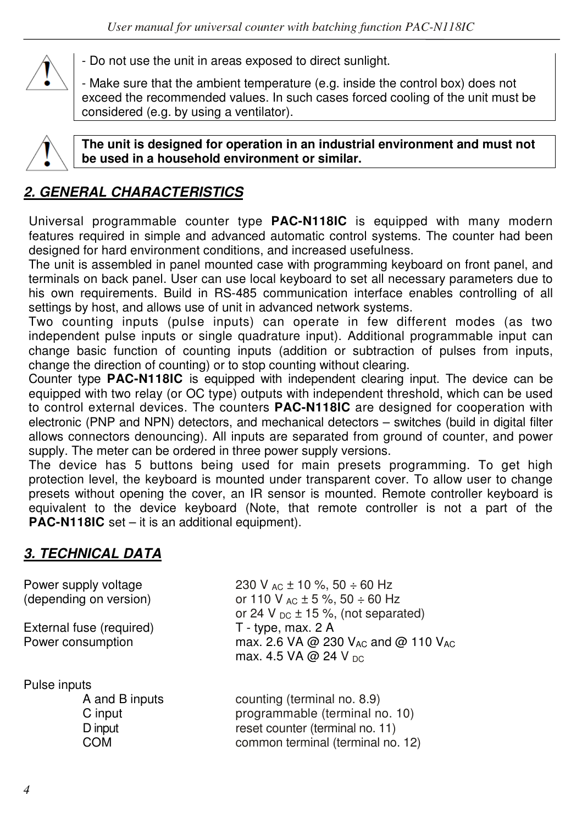

- Do not use the unit in areas exposed to direct sunlight.

- Make sure that the ambient temperature (e.g. inside the control box) does not exceed the recommended values. In such cases forced cooling of the unit must be considered (e.g. by using a ventilator).



**The unit is designed for operation in an industrial environment and must not be used in a household environment or similar.** 

# *2. GENERAL CHARACTERISTICS*

Universal programmable counter type **PAC-N118IC** is equipped with many modern features required in simple and advanced automatic control systems. The counter had been designed for hard environment conditions, and increased usefulness.

The unit is assembled in panel mounted case with programming keyboard on front panel, and terminals on back panel. User can use local keyboard to set all necessary parameters due to his own requirements. Build in RS-485 communication interface enables controlling of all settings by host, and allows use of unit in advanced network systems.

Two counting inputs (pulse inputs) can operate in few different modes (as two independent pulse inputs or single quadrature input). Additional programmable input can change basic function of counting inputs (addition or subtraction of pulses from inputs, change the direction of counting) or to stop counting without clearing.

Counter type **PAC-N118IC** is equipped with independent clearing input. The device can be equipped with two relay (or OC type) outputs with independent threshold, which can be used to control external devices. The counters **PAC-N118IC** are designed for cooperation with electronic (PNP and NPN) detectors, and mechanical detectors – switches (build in digital filter allows connectors denouncing). All inputs are separated from ground of counter, and power supply. The meter can be ordered in three power supply versions.

The device has 5 buttons being used for main presets programming. To get high protection level, the keyboard is mounted under transparent cover. To allow user to change presets without opening the cover, an IR sensor is mounted. Remote controller keyboard is equivalent to the device keyboard (Note, that remote controller is not a part of the **PAC-N118IC** set – it is an additional equipment).

# *3. TECHNICAL DATA*

| Power supply voltage<br>(depending on version)<br>External fuse (required)<br>Power consumption | 230 V <sub>AC</sub> $\pm$ 10 %, 50 $\div$ 60 Hz<br>or 110 V $_{AC}$ ± 5 %, 50 ÷ 60 Hz<br>or 24 V $_{DC}$ ± 15 %, (not separated)<br>T - type, max. 2 A<br>max. 2.6 VA @ 230 V <sub>AC</sub> and @ 110 V <sub>AC</sub><br>max. 4.5 VA @ 24 V $_{DC}$ |
|-------------------------------------------------------------------------------------------------|-----------------------------------------------------------------------------------------------------------------------------------------------------------------------------------------------------------------------------------------------------|
| Pulse inputs<br>A and B inputs<br>C input<br>D input<br>COM                                     | counting (terminal no. 8.9)<br>programmable (terminal no. 10)<br>reset counter (terminal no. 11)<br>common terminal (terminal no. 12)                                                                                                               |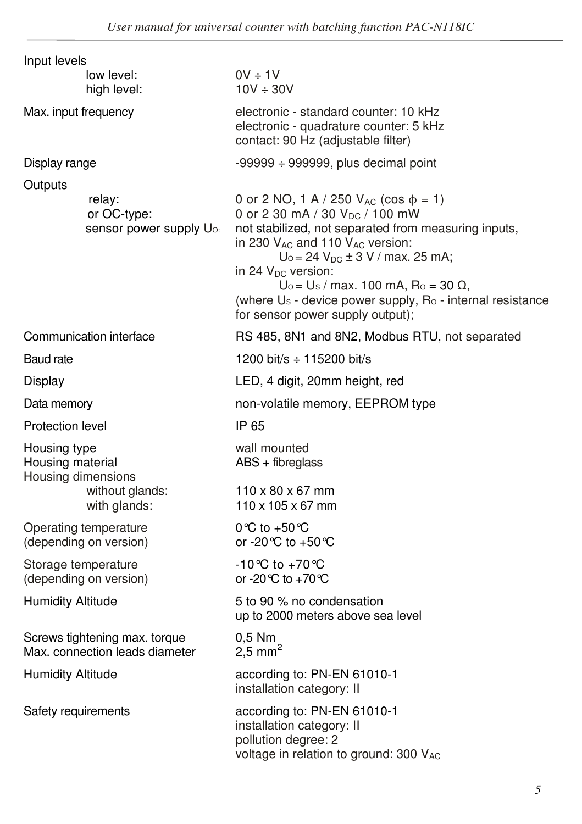| $0V \div 1V$<br>$10V \div 30V$                                                                                                                                                                                                                                                                                                                                                                                       |  |
|----------------------------------------------------------------------------------------------------------------------------------------------------------------------------------------------------------------------------------------------------------------------------------------------------------------------------------------------------------------------------------------------------------------------|--|
| electronic - standard counter: 10 kHz<br>electronic - quadrature counter: 5 kHz<br>contact: 90 Hz (adjustable filter)                                                                                                                                                                                                                                                                                                |  |
| $-99999 \div 999999$ , plus decimal point                                                                                                                                                                                                                                                                                                                                                                            |  |
| 0 or 2 NO, 1 A / 250 $V_{AC}$ (cos $\phi = 1$ )<br>0 or 2 30 mA / 30 V <sub>DC</sub> / 100 mW<br>not stabilized, not separated from measuring inputs,<br>in 230 VAc and 110 VAc version:<br>$U_0 = 24 V_{DC} \pm 3 V$ / max. 25 mA;<br>in 24 $V_{DC}$ version:<br>$U_0 = U_s / max.$ 100 mA, R <sub>o</sub> = 30 Ω,<br>(where Us - device power supply, Ro - internal resistance<br>for sensor power supply output); |  |
| RS 485, 8N1 and 8N2, Modbus RTU, not separated                                                                                                                                                                                                                                                                                                                                                                       |  |
| 1200 bit/s $\div$ 115200 bit/s                                                                                                                                                                                                                                                                                                                                                                                       |  |
| LED, 4 digit, 20mm height, red                                                                                                                                                                                                                                                                                                                                                                                       |  |
| non-volatile memory, EEPROM type                                                                                                                                                                                                                                                                                                                                                                                     |  |
| IP 65                                                                                                                                                                                                                                                                                                                                                                                                                |  |
| wall mounted<br>$ABS + fibreglass$<br>$110 \times 80 \times 67$ mm<br>$110 \times 105 \times 67$ mm                                                                                                                                                                                                                                                                                                                  |  |
| 0 °C to +50 °C<br>or -20 °C to +50 °C                                                                                                                                                                                                                                                                                                                                                                                |  |
| -10℃ to +70℃<br>or -20 °C to +70 °C                                                                                                                                                                                                                                                                                                                                                                                  |  |
| 5 to 90 % no condensation<br>up to 2000 meters above sea level                                                                                                                                                                                                                                                                                                                                                       |  |
| 0,5 Nm<br>2.5 mm <sup>2</sup>                                                                                                                                                                                                                                                                                                                                                                                        |  |
| according to: PN-EN 61010-1<br>installation category: II                                                                                                                                                                                                                                                                                                                                                             |  |
| according to: PN-EN 61010-1<br>installation category: II<br>pollution degree: 2<br>voltage in relation to ground: 300 VAC                                                                                                                                                                                                                                                                                            |  |
|                                                                                                                                                                                                                                                                                                                                                                                                                      |  |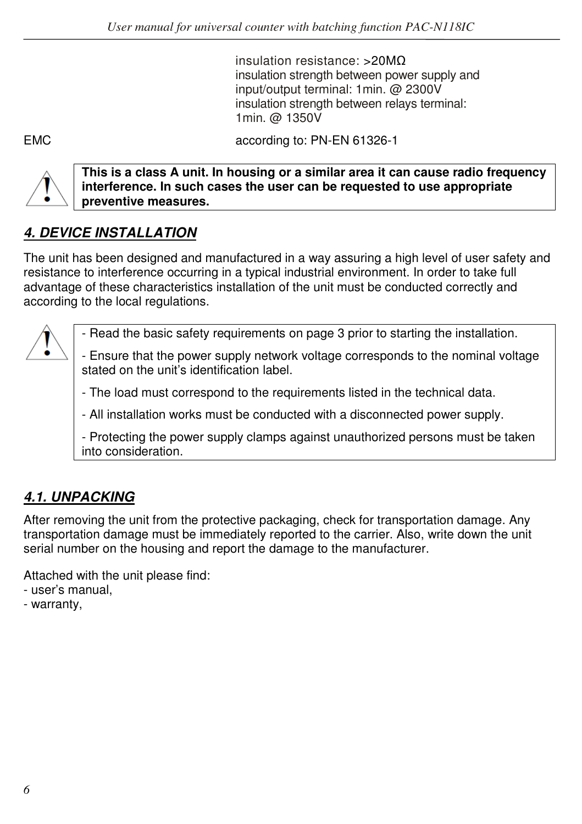insulation resistance: >20MΩ insulation strength between power supply and input/output terminal: 1min. @ 2300V insulation strength between relays terminal: 1min. @ 1350V

EMC according to: PN-EN 61326-1



**This is a class A unit. In housing or a similar area it can cause radio frequency interference. In such cases the user can be requested to use appropriate preventive measures.** 

# *4. DEVICE INSTALLATION*

The unit has been designed and manufactured in a way assuring a high level of user safety and resistance to interference occurring in a typical industrial environment. In order to take full advantage of these characteristics installation of the unit must be conducted correctly and according to the local regulations.

- Read the basic safety requirements on page 3 prior to starting the installation.

- Ensure that the power supply network voltage corresponds to the nominal voltage stated on the unit's identification label.

- The load must correspond to the requirements listed in the technical data.

- All installation works must be conducted with a disconnected power supply.

- Protecting the power supply clamps against unauthorized persons must be taken into consideration.

# *4.1. UNPACKING*

After removing the unit from the protective packaging, check for transportation damage. Any transportation damage must be immediately reported to the carrier. Also, write down the unit serial number on the housing and report the damage to the manufacturer.

Attached with the unit please find:

- user's manual,
- warranty,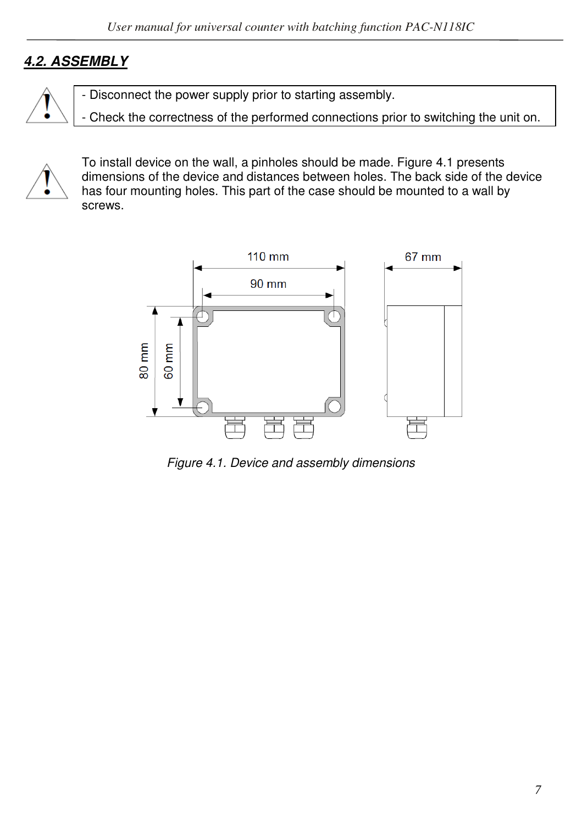# *4.2. ASSEMBLY*

- Disconnect the power supply prior to starting assembly.

- Check the correctness of the performed connections prior to switching the unit on.



To install device on the wall, a pinholes should be made. Figure 4.1 presents dimensions of the device and distances between holes. The back side of the device has four mounting holes. This part of the case should be mounted to a wall by screws.



*Figure 4.1. Device and assembly dimensions*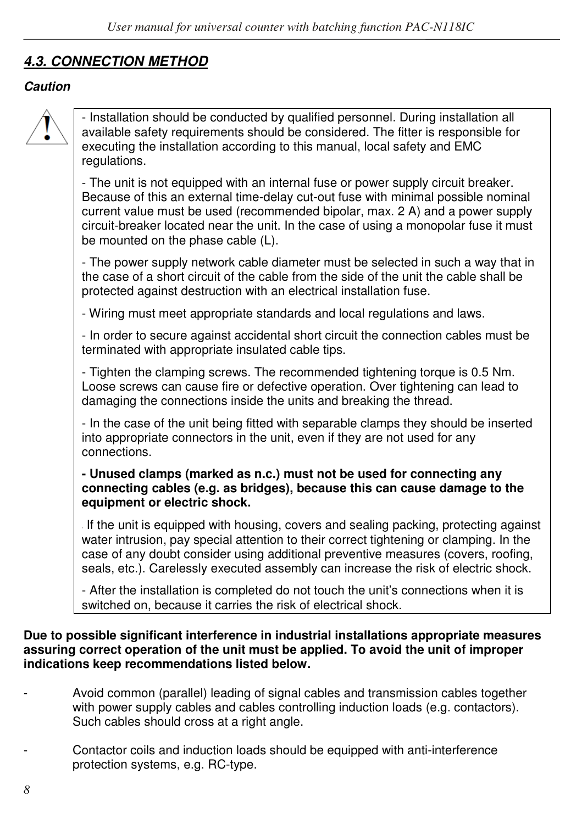# *4.3. CONNECTION METHOD*

#### *Caution*



- Installation should be conducted by qualified personnel. During installation all available safety requirements should be considered. The fitter is responsible for executing the installation according to this manual, local safety and EMC regulations.

- The unit is not equipped with an internal fuse or power supply circuit breaker. Because of this an external time-delay cut-out fuse with minimal possible nominal current value must be used (recommended bipolar, max. 2 A) and a power supply circuit-breaker located near the unit. In the case of using a monopolar fuse it must be mounted on the phase cable (L).

- The power supply network cable diameter must be selected in such a way that in the case of a short circuit of the cable from the side of the unit the cable shall be protected against destruction with an electrical installation fuse.

- Wiring must meet appropriate standards and local regulations and laws.

- In order to secure against accidental short circuit the connection cables must be terminated with appropriate insulated cable tips.

- Tighten the clamping screws. The recommended tightening torque is 0.5 Nm. Loose screws can cause fire or defective operation. Over tightening can lead to damaging the connections inside the units and breaking the thread.

- In the case of the unit being fitted with separable clamps they should be inserted into appropriate connectors in the unit, even if they are not used for any connections.

#### **- Unused clamps (marked as n.c.) must not be used for connecting any connecting cables (e.g. as bridges), because this can cause damage to the equipment or electric shock.**

If the unit is equipped with housing, covers and sealing packing, protecting against water intrusion, pay special attention to their correct tightening or clamping. In the case of any doubt consider using additional preventive measures (covers, roofing, seals, etc.). Carelessly executed assembly can increase the risk of electric shock.

- After the installation is completed do not touch the unit's connections when it is switched on, because it carries the risk of electrical shock.

#### **Due to possible significant interference in industrial installations appropriate measures assuring correct operation of the unit must be applied. To avoid the unit of improper indications keep recommendations listed below.**

- Avoid common (parallel) leading of signal cables and transmission cables together with power supply cables and cables controlling induction loads (e.g. contactors). Such cables should cross at a right angle.
- Contactor coils and induction loads should be equipped with anti-interference protection systems, e.g. RC-type.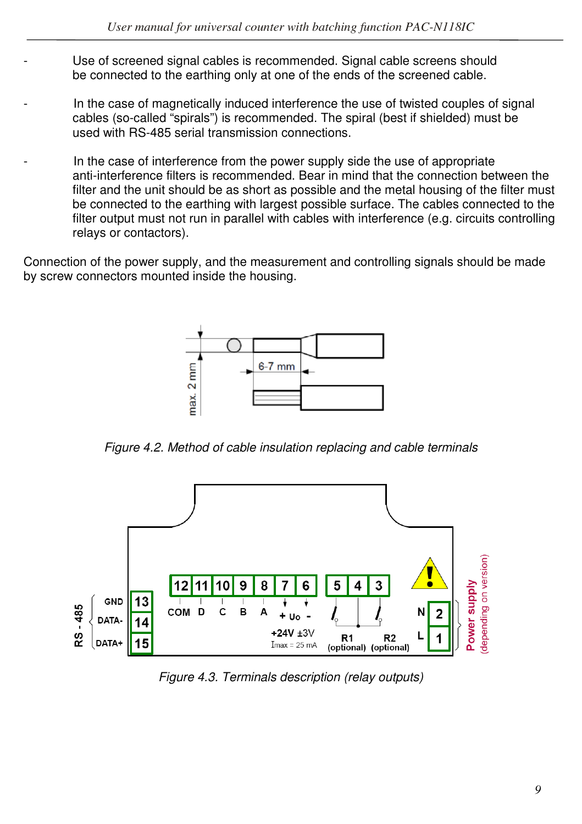- Use of screened signal cables is recommended. Signal cable screens should be connected to the earthing only at one of the ends of the screened cable.
- In the case of magnetically induced interference the use of twisted couples of signal cables (so-called "spirals") is recommended. The spiral (best if shielded) must be used with RS-485 serial transmission connections.
- In the case of interference from the power supply side the use of appropriate anti-interference filters is recommended. Bear in mind that the connection between the filter and the unit should be as short as possible and the metal housing of the filter must be connected to the earthing with largest possible surface. The cables connected to the filter output must not run in parallel with cables with interference (e.g. circuits controlling relays or contactors).

Connection of the power supply, and the measurement and controlling signals should be made by screw connectors mounted inside the housing.



*Figure 4.2. Method of cable insulation replacing and cable terminals* 



*Figure 4.3. Terminals description (relay outputs)*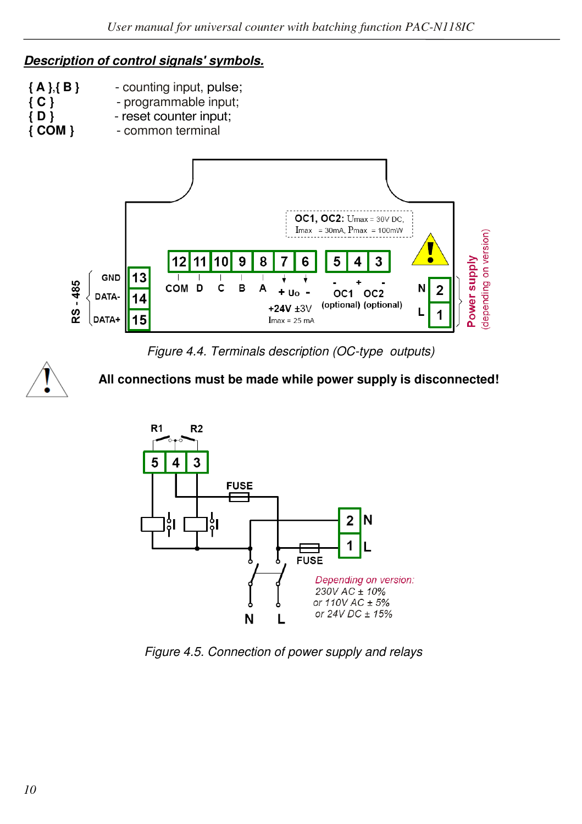#### *Description of control signals' symbols.*

- **{ A }**,**{ B }**  counting input, pulse;
- **{ C }**  programmable input;
	- **{ D }**  reset counter input;
- **{ COM }**  common terminal



*Figure 4.4. Terminals description (OC-type outputs)* 



#### **All connections must be made while power supply is disconnected!**



*Figure 4.5. Connection of power supply and relays*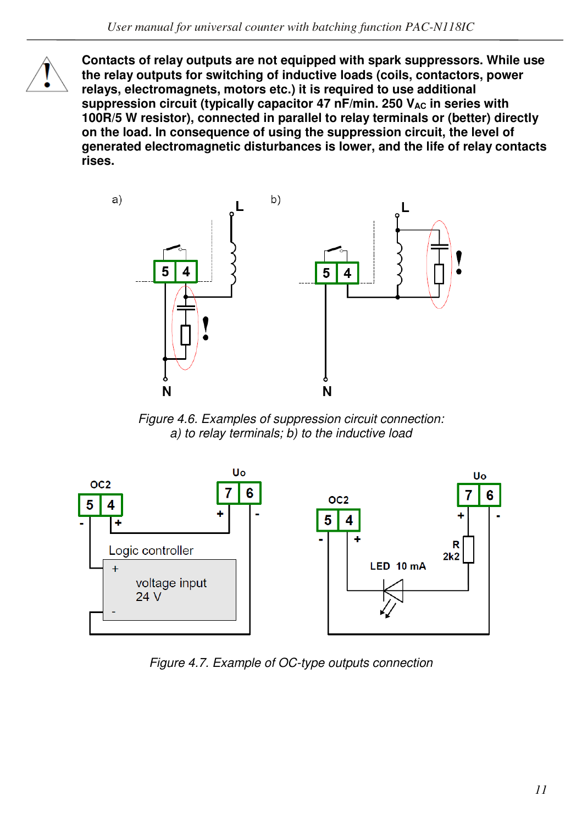

**Contacts of relay outputs are not equipped with spark suppressors. While use the relay outputs for switching of inductive loads (coils, contactors, power relays, electromagnets, motors etc.) it is required to use additional**  suppression circuit (typically capacitor 47 nF/min. 250 V<sub>AC</sub> in series with **100R/5 W resistor), connected in parallel to relay terminals or (better) directly on the load. In consequence of using the suppression circuit, the level of generated electromagnetic disturbances is lower, and the life of relay contacts rises.** 



*Figure 4.6. Examples of suppression circuit connection: a) to relay terminals; b) to the inductive load* 



*Figure 4.7. Example of OC-type outputs connection*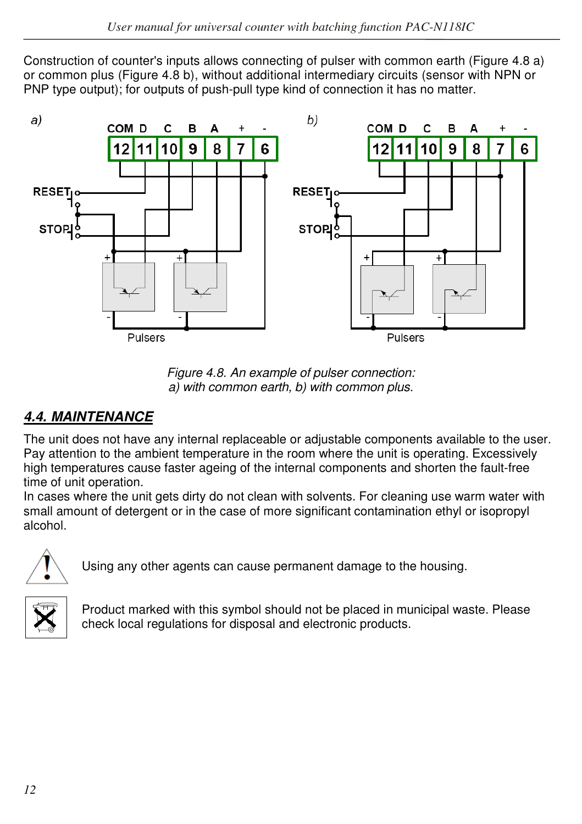Construction of counter's inputs allows connecting of pulser with common earth (Figure 4.8 a) or common plus (Figure 4.8 b), without additional intermediary circuits (sensor with NPN or PNP type output); for outputs of push-pull type kind of connection it has no matter.



*Figure 4.8. An example of pulser connection: a) with common earth, b) with common plus.*

# *4.4. MAINTENANCE*

The unit does not have any internal replaceable or adjustable components available to the user. Pay attention to the ambient temperature in the room where the unit is operating. Excessively high temperatures cause faster ageing of the internal components and shorten the fault-free time of unit operation.

In cases where the unit gets dirty do not clean with solvents. For cleaning use warm water with small amount of detergent or in the case of more significant contamination ethyl or isopropyl alcohol.



Using any other agents can cause permanent damage to the housing.



Product marked with this symbol should not be placed in municipal waste. Please check local regulations for disposal and electronic products.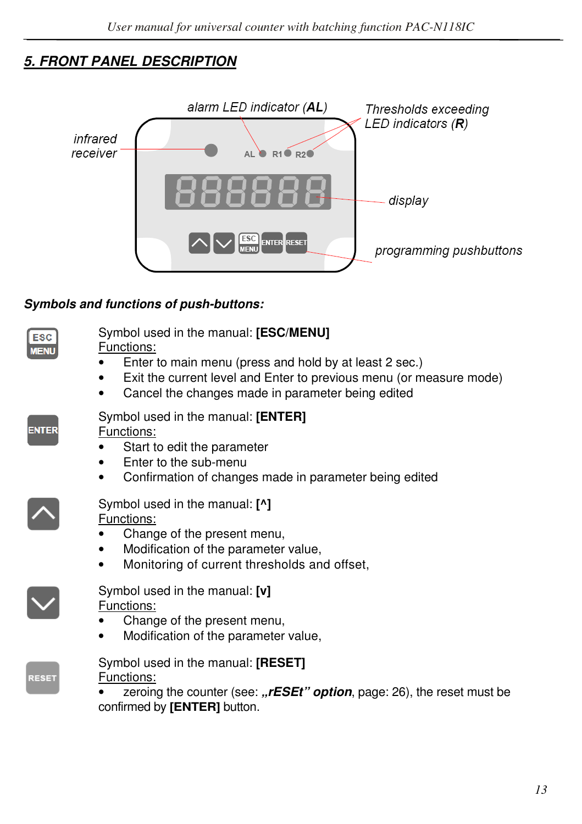# *5. FRONT PANEL DESCRIPTION*



#### *Symbols and functions of push-buttons:*

| ___            |  |
|----------------|--|
| ____<br>٠<br>- |  |

# Symbol used in the manual: **[ESC/MENU]**

Functions:

- Enter to main menu (press and hold by at least 2 sec.)
- Exit the current level and Enter to previous menu (or measure mode)
- Cancel the changes made in parameter being edited

| _<br>_ | -<br><b>STATE OF STATE OF STATE OF STATE OF STATE OF STATE OF STATE OF STATE OF STATE OF STATE OF STATE OF STATE OF S</b> | _ |  |
|--------|---------------------------------------------------------------------------------------------------------------------------|---|--|

#### Symbol used in the manual: **[ENTER]**

Functions:

- Start to edit the parameter
- Enter to the sub-menu
- Confirmation of changes made in parameter being edited

#### Symbol used in the manual: **[^]**  Functions:

- Change of the present menu,
- Modification of the parameter value,
- Monitoring of current thresholds and offset,



# Symbol used in the manual: **[v]**

Functions:

- Change of the present menu,
- Modification of the parameter value,



Symbol used in the manual: **[RESET]**  Functions:

zeroing the counter (see: *"rESEt"* option, page: 26), the reset must be confirmed by **[ENTER]** button.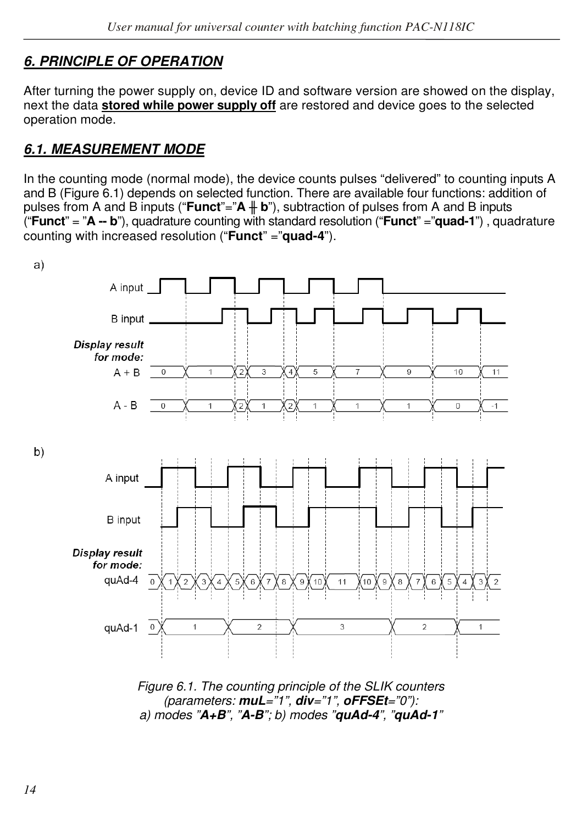# *6. PRINCIPLE OF OPERATION*

After turning the power supply on, device ID and software version are showed on the display, next the data **stored while power supply off** are restored and device goes to the selected operation mode.

### *6.1. MEASUREMENT MODE*

In the counting mode (normal mode), the device counts pulses "delivered" to counting inputs A and B (Figure 6.1) depends on selected function. There are available four functions: addition of pulses from A and B inputs ("**Funct**"="**A ╫ b**"), subtraction of pulses from A and B inputs ("**Funct**" = "**A -- b**"), quadrature counting with standard resolution ("**Funct**" ="**quad-1**") , quadrature counting with increased resolution ("**Funct**" ="**quad-4**").



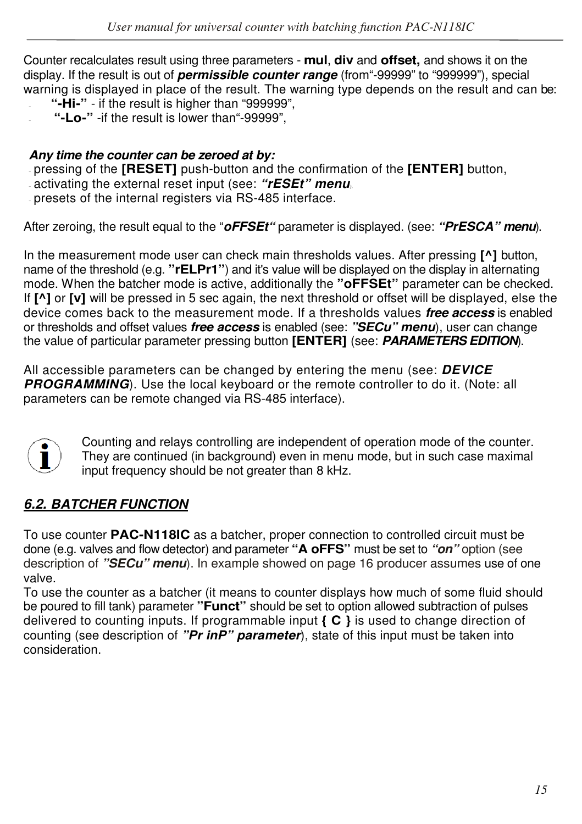Counter recalculates result using three parameters - **mul**, **div** and **offset,** and shows it on the display. If the result is out of *permissible counter range* (from"-99999" to "999999"), special warning is displayed in place of the result. The warning type depends on the result and can be:

- **"-Hi-"**  if the result is higher than "999999",
- **"-Lo-"** -if the result is lower than"-99999",

#### *Any time the counter can be zeroed at by:*

- pressing of the **[RESET]** push-button and the confirmation of the **[ENTER]** button,
- activating the external reset input (see: *"rESEt" menu),*
- presets of the internal registers via RS-485 interface.

After zeroing, the result equal to the "*oFFSEt"* parameter is displayed. (see: *"PrESCA" menu*).

In the measurement mode user can check main thresholds values. After pressing **[^]** button, name of the threshold (e.g. **"rELPr1"**) and it's value will be displayed on the display in alternating mode. When the batcher mode is active, additionally the **"oFFSEt"** parameter can be checked. If **[^]** or **[v]** will be pressed in 5 sec again, the next threshold or offset will be displayed, else the device comes back to the measurement mode. If a thresholds values *free access* is enabled or thresholds and offset values *free access* is enabled (see: *"SECu" menu*), user can change the value of particular parameter pressing button **[ENTER]** (see: *PARAMETERS EDITION*).

All accessible parameters can be changed by entering the menu (see: *DEVICE PROGRAMMING*). Use the local keyboard or the remote controller to do it. (Note: all parameters can be remote changed via RS-485 interface).



 Counting and relays controlling are independent of operation mode of the counter. They are continued (in background) even in menu mode, but in such case maximal input frequency should be not greater than 8 kHz.

#### *6.2. BATCHER FUNCTION*

To use counter **PAC-N118IC** as a batcher, proper connection to controlled circuit must be done (e.g. valves and flow detector) and parameter **"A oFFS"** must be set to *"on"* option (see description of *"SECu" menu*). In example showed on page 16 producer assumes use of one valve.

To use the counter as a batcher (it means to counter displays how much of some fluid should be poured to fill tank) parameter **"Funct"** should be set to option allowed subtraction of pulses delivered to counting inputs. If programmable input **{ C }** is used to change direction of counting (see description of *"Pr inP" parameter*), state of this input must be taken into consideration.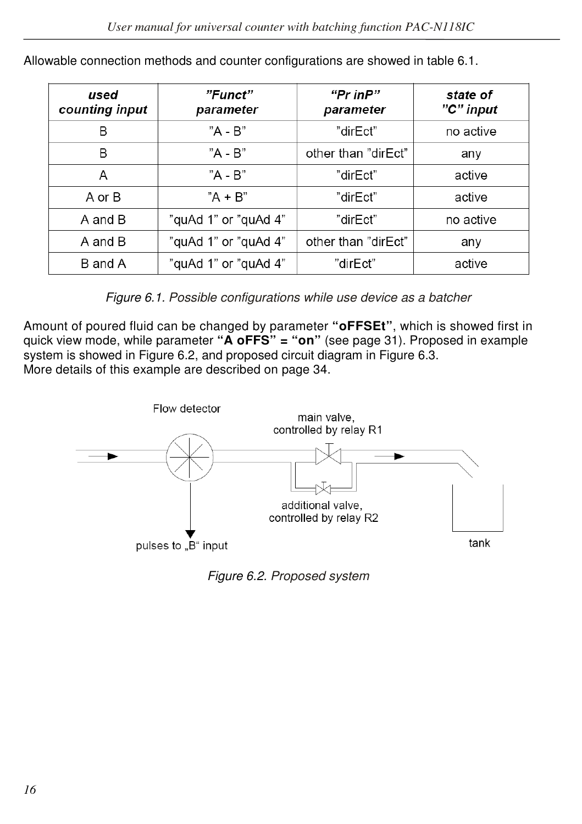| used<br>counting input | "Funct"<br>parameter | "Pr inP"<br>parameter | state of<br>"C" input |
|------------------------|----------------------|-----------------------|-----------------------|
| B                      | "A - B"              | "dirEct"              | no active             |
| B                      | "A - B"              | other than "dirEct"   | any                   |
| Α                      | $"A - B"$            | "dirEct"              | active                |
| A or B                 | $A + B$              | "dirEct"              | active                |
| A and B                | "quAd 1" or "quAd 4" | "dirEct"              | no active             |
| A and B                | "quAd 1" or "quAd 4" | other than "dirFct"   | any                   |
| B and A                | "quAd 1" or "quAd 4" | "dirEct"              | active                |

Allowable connection methods and counter configurations are showed in table 6.1.

*Figure 6.1. Possible configurations while use device as a batcher*

Amount of poured fluid can be changed by parameter **"oFFSEt"**, which is showed first in quick view mode, while parameter **"A oFFS" = "on"** (see page 31). Proposed in example system is showed in Figure 6.2, and proposed circuit diagram in Figure 6.3. More details of this example are described on page 34.



*Figure 6.2. Proposed system*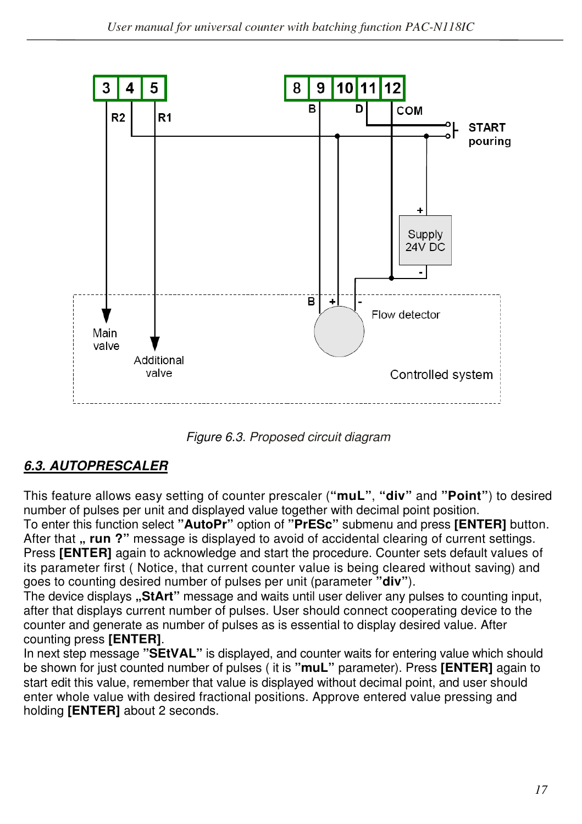

*Figure 6.3. Proposed circuit diagram*

# *6.3. AUTOPRESCALER*

This feature allows easy setting of counter prescaler (**"muL"**, **"div"** and **"Point"**) to desired number of pulses per unit and displayed value together with decimal point position.

To enter this function select **"AutoPr"** option of **"PrESc"** submenu and press **[ENTER]** button. After that **" run ?**" message is displayed to avoid of accidental clearing of current settings. Press **[ENTER]** again to acknowledge and start the procedure. Counter sets default values of its parameter first ( Notice, that current counter value is being cleared without saving) and goes to counting desired number of pulses per unit (parameter **"div"**).

The device displays "StArt" message and waits until user deliver any pulses to counting input, after that displays current number of pulses. User should connect cooperating device to the counter and generate as number of pulses as is essential to display desired value. After counting press **[ENTER]**.

In next step message **"SEtVAL"** is displayed, and counter waits for entering value which should be shown for just counted number of pulses ( it is **"muL"** parameter). Press **[ENTER]** again to start edit this value, remember that value is displayed without decimal point, and user should enter whole value with desired fractional positions. Approve entered value pressing and holding **[ENTER]** about 2 seconds.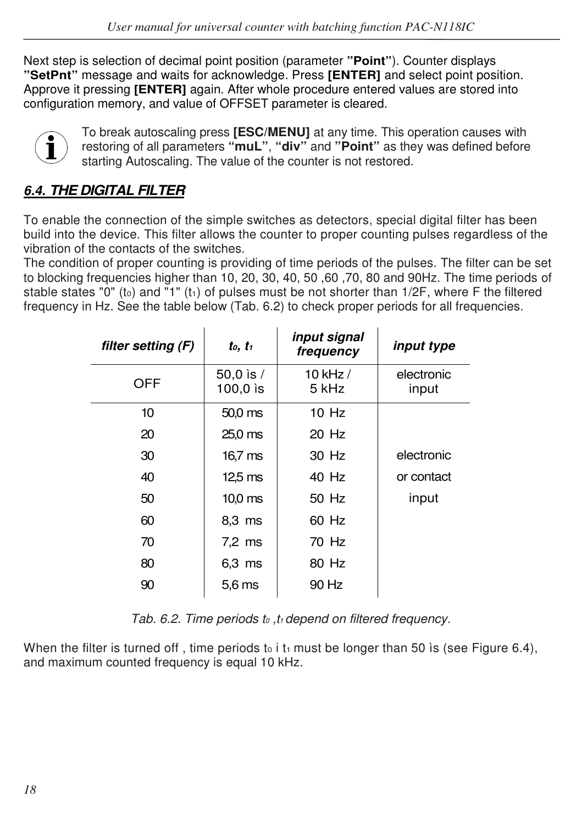Next step is selection of decimal point position (parameter **"Point"**). Counter displays **"SetPnt"** message and waits for acknowledge. Press **[ENTER]** and select point position. Approve it pressing **[ENTER]** again. After whole procedure entered values are stored into configuration memory, and value of OFFSET parameter is cleared.



To break autoscaling press **[ESC/MENU]** at any time. This operation causes with restoring of all parameters **"muL"**, **"div"** and **"Point"** as they was defined before starting Autoscaling. The value of the counter is not restored.

# *6.4. THE DIGITAL FILTER*

To enable the connection of the simple switches as detectors, special digital filter has been build into the device. This filter allows the counter to proper counting pulses regardless of the vibration of the contacts of the switches.

The condition of proper counting is providing of time periods of the pulses. The filter can be set to blocking frequencies higher than 10, 20, 30, 40, 50 ,60 ,70, 80 and 90Hz. The time periods of stable states "0" (to) and "1" (t<sub>1</sub>) of pulses must be not shorter than  $1/2F$ , where F the filtered frequency in Hz. See the table below (Tab. 6.2) to check proper periods for all frequencies.

| filter setting (F) | $t_0$ , $t_1$             | input signal<br>frequency | <i>input type</i>   |
|--------------------|---------------------------|---------------------------|---------------------|
| OFF                | 50,0 is $/$<br>$100.0$ is | 10 kHz /<br>5 kHz         | electronic<br>input |
| 10                 | 50.0 <sub>ms</sub>        | $10$ Hz                   |                     |
| 20                 | $25.0$ ms                 | 20 Hz                     |                     |
| 30                 | 16.7 <sub>ms</sub>        | 30 Hz                     | electronic          |
| 40                 | 12.5 <sub>ms</sub>        | 40 Hz                     | or contact          |
| 50                 | 10.0 <sub>ms</sub>        | 50 Hz                     | input               |
| 60                 | 8.3 ms                    | 60 Hz                     |                     |
| 70                 | $7.2 \text{ ms}$          | 70 Hz                     |                     |
| 80                 | 6.3 ms                    | 80 Hz                     |                     |
| 90                 | 5.6 <sub>ms</sub>         | 90 Hz                     |                     |

*Tab. 6.2. Time periods t0 ,t1 depend on filtered frequency.*

When the filter is turned off, time periods to i t<sub>1</sub> must be longer than 50 is (see Figure 6.4), and maximum counted frequency is equal 10 kHz.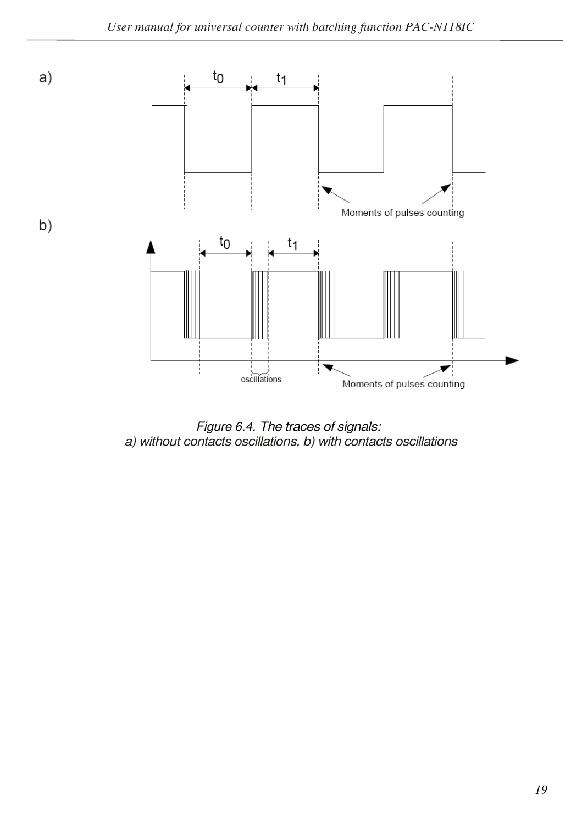

*Figure 6.4. The traces of signals: a) without contacts oscillations, b) with contacts oscillations*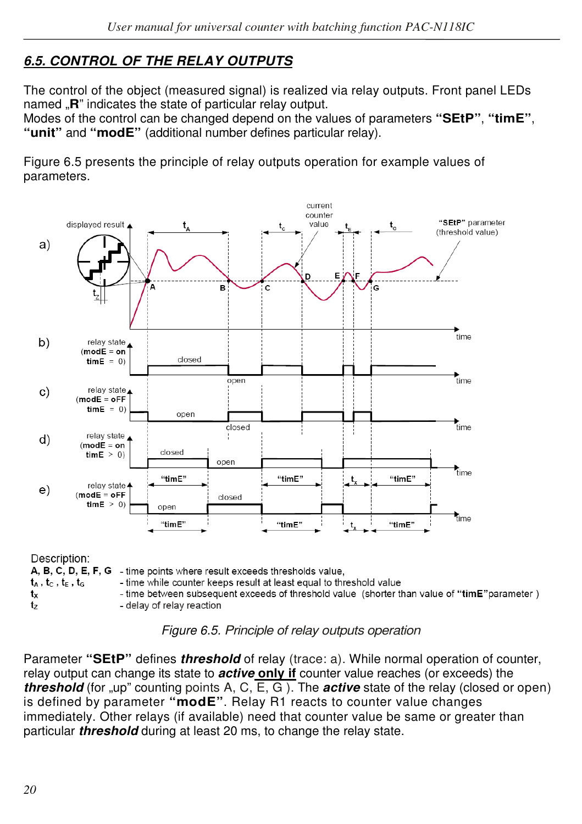# *6.5. CONTROL OF THE RELAY OUTPUTS*

The control of the object (measured signal) is realized via relay outputs. Front panel LEDs named **.R**" indicates the state of particular relay output.

Modes of the control can be changed depend on the values of parameters **"SEtP"**, **"timE"**, **"unit"** and **"modE"** (additional number defines particular relay).

Figure 6.5 presents the principle of relay outputs operation for example values of parameters.



- delay of relay reaction

*Figure 6.5. Principle of relay outputs operation*

Parameter **"SEtP"** defines *threshold* of relay (trace: a). While normal operation of counter, relay output can change its state to *active* **only if** counter value reaches (or exceeds) the *threshold* (for "up" counting points A, C, E, G). The *active* state of the relay (closed or open) is defined by parameter **"modE"**. Relay R1 reacts to counter value changes immediately. Other relays (if available) need that counter value be same or greater than particular *threshold* during at least 20 ms, to change the relay state.

 $t_{z}$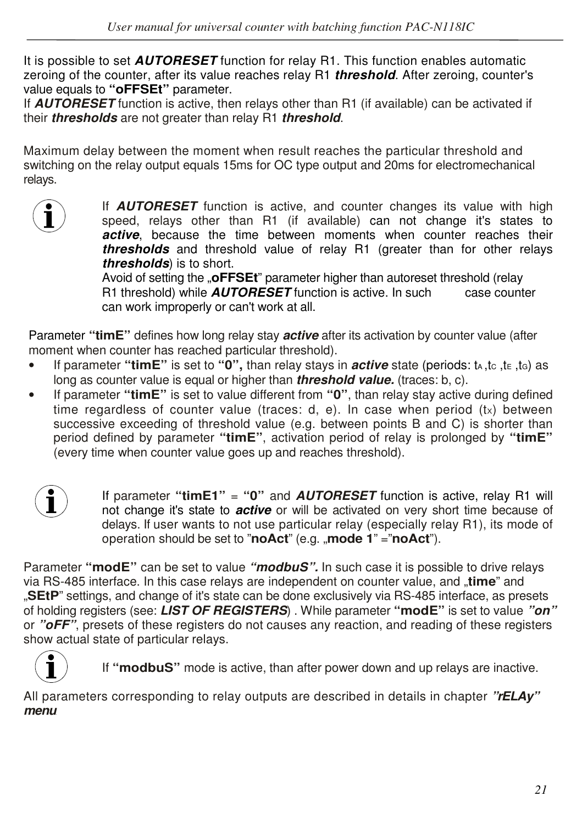It is possible to set *AUTORESET* function for relay R1. This function enables automatic zeroing of the counter, after its value reaches relay R1 *threshold*. After zeroing, counter's value equals to **"oFFSEt"** parameter.

If *AUTORESET* function is active, then relays other than R1 (if available) can be activated if their *thresholds* are not greater than relay R1 *threshold*.

Maximum delay between the moment when result reaches the particular threshold and switching on the relay output equals 15ms for OC type output and 20ms for electromechanical relays.



If **AUTORESET** function is active, and counter changes its value with high<br>speed, relays other than R1 (if available) can not change it's states to speed, relays other than R1 (if available) can not change it's states to active, because the time between moments when counter reaches their *thresholds* and threshold value of relay R1 (greater than for other relays *thresholds*) is to short.

Avoid of setting the "**oFFSEt**" parameter higher than autoreset threshold (relay<br>R1 threshold) while **AUTORESET** function is active. In such case counter R1 threshold) while **AUTORESET** function is active. In such can work improperly or can't work at all.

Parameter **"timE"** defines how long relay stay *active* after its activation by counter value (after moment when counter has reached particular threshold).

- If parameter "timE" is set to "0", than relay stays in *active* state (periods: t<sub>A</sub>,tc<sub>,</sub>te, tc) as long as counter value is equal or higher than *threshold value.* (traces: b, c).
- If parameter **"timE"** is set to value different from **"0"**, than relay stay active during defined time regardless of counter value (traces: d, e). In case when period  $(tx)$  between successive exceeding of threshold value (e.g. between points B and C) is shorter than period defined by parameter **"timE"**, activation period of relay is prolonged by **"timE"**  (every time when counter value goes up and reaches threshold).



If parameter **"timE1"** = **"0"** and *AUTORESET* function is active, relay R1 will not change it's state to *active* or will be activated on very short time because of delays. If user wants to not use particular relay (especially relay R1), its mode of operation should be set to "**noAct**" (e.g. "**mode 1**" ="**noAct**").

Parameter **"modE"** can be set to value *"modbuS".* In such case it is possible to drive relays via RS-485 interface. In this case relays are independent on counter value, and "**time**" and "**SEtP**" settings, and change of it's state can be done exclusively via RS-485 interface, as presets of holding registers (see: *LIST OF REGISTERS*) . While parameter **"modE"** is set to value *"on"* or *"oFF"*, presets of these registers do not causes any reaction, and reading of these registers show actual state of particular relays.



If **"modbuS"** mode is active, than after power down and up relays are inactive.

All parameters corresponding to relay outputs are described in details in chapter *"rELAy" menu.*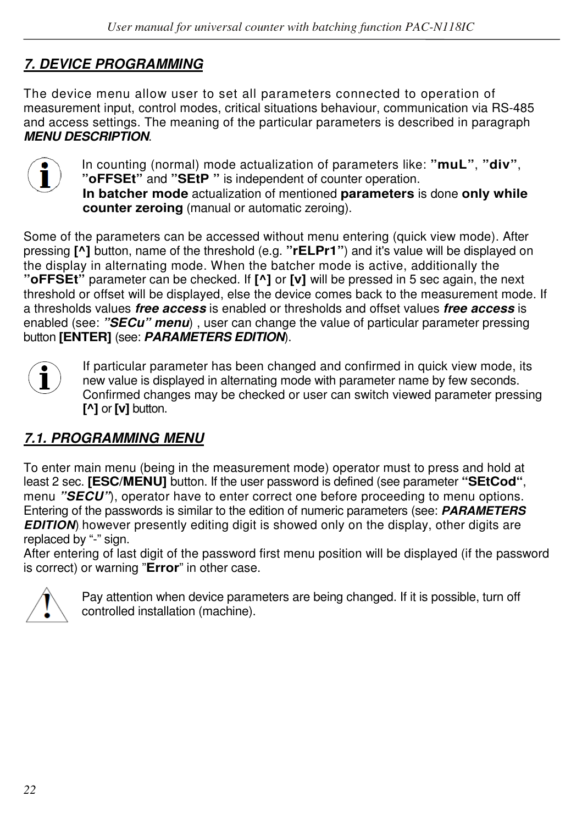# *7. DEVICE PROGRAMMING*

The device menu allow user to set all parameters connected to operation of measurement input, control modes, critical situations behaviour, communication via RS-485 and access settings. The meaning of the particular parameters is described in paragraph *MENU DESCRIPTION*.



In counting (normal) mode actualization of parameters like: **"muL"**, **"div"**, **"oFFSEt"** and **"SEtP "** is independent of counter operation. **In batcher mode** actualization of mentioned **parameters** is done **only while counter zeroing** (manual or automatic zeroing).

Some of the parameters can be accessed without menu entering (quick view mode). After pressing **[^]** button, name of the threshold (e.g. **"rELPr1"**) and it's value will be displayed on the display in alternating mode. When the batcher mode is active, additionally the **"oFFSEt"** parameter can be checked. If **[^]** or **[v]** will be pressed in 5 sec again, the next threshold or offset will be displayed, else the device comes back to the measurement mode. If a thresholds values *free access* is enabled or thresholds and offset values *free access* is enabled (see: *"SECu" menu*) , user can change the value of particular parameter pressing button **[ENTER]** (see: *PARAMETERS EDITION*).

If particular parameter has been changed and confirmed in quick view mode, its new value is displayed in alternating mode with parameter name by few seconds. new value is displayed in alternating mode with parameter name by few seconds. Confirmed changes may be checked or user can switch viewed parameter pressing **[^]** or **[v]** button.

# *7.1. PROGRAMMING MENU*

To enter main menu (being in the measurement mode) operator must to press and hold at least 2 sec. **[ESC/MENU]** button. If the user password is defined (see parameter **"SEtCod"**, menu *"SECU"*), operator have to enter correct one before proceeding to menu options. Entering of the passwords is similar to the edition of numeric parameters (see: *PARAMETERS EDITION*), however presently editing digit is showed only on the display, other digits are replaced by "-" sign.

After entering of last digit of the password first menu position will be displayed (if the password is correct) or warning "**Error**" in other case.



Pay attention when device parameters are being changed. If it is possible, turn off controlled installation (machine).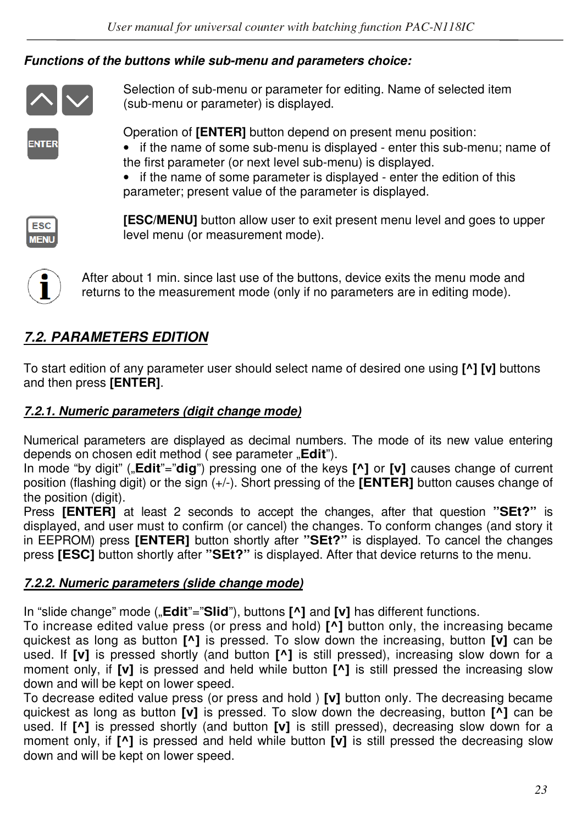#### *Functions of the buttons while sub-menu and parameters choice:*



Selection of sub-menu or parameter for editing. Name of selected item (sub-menu or parameter) is displayed.

**NTER** 

Operation of **[ENTER]** button depend on present menu position:

- if the name of some sub-menu is displayed enter this sub-menu; name of the first parameter (or next level sub-menu) is displayed.
- if the name of some parameter is displayed enter the edition of this parameter; present value of the parameter is displayed.



**[ESC/MENU]** button allow user to exit present menu level and goes to upper level menu (or measurement mode).



After about 1 min. since last use of the buttons, device exits the menu mode and returns to the measurement mode (only if no parameters are in editing mode).

# *7.2. PARAMETERS EDITION*

To start edition of any parameter user should select name of desired one using **[^] [v]** buttons and then press **[ENTER]**.

### *7.2.1. Numeric parameters (digit change mode)*

Numerical parameters are displayed as decimal numbers. The mode of its new value entering depends on chosen edit method ( see parameter "**Edit**").

In mode "by digit" ("**Edit**"="**dig**") pressing one of the keys **[^]** or **[v]** causes change of current position (flashing digit) or the sign (+/-). Short pressing of the **[ENTER]** button causes change of the position (digit).

Press **[ENTER]** at least 2 seconds to accept the changes, after that question **"SEt?"** is displayed, and user must to confirm (or cancel) the changes. To conform changes (and story it in EEPROM) press **[ENTER]** button shortly after **"SEt?"** is displayed. To cancel the changes press **[ESC]** button shortly after **"SEt?"** is displayed. After that device returns to the menu.

#### *7.2.2. Numeric parameters (slide change mode)*

In "slide change" mode ("**Edit**"="**Slid**"), buttons  $\lceil \Lambda \rceil$  and  $\lceil \nu \rceil$  has different functions.

To increase edited value press (or press and hold) **[^]** button only, the increasing became quickest as long as button **[^]** is pressed. To slow down the increasing, button **[v]** can be used. If **[v]** is pressed shortly (and button **[^]** is still pressed), increasing slow down for a moment only, if **[v]** is pressed and held while button **[^]** is still pressed the increasing slow down and will be kept on lower speed.

To decrease edited value press (or press and hold ) **[v]** button only. The decreasing became quickest as long as button **[v]** is pressed. To slow down the decreasing, button **[^]** can be used. If **[^]** is pressed shortly (and button **[v]** is still pressed), decreasing slow down for a moment only, if **[^]** is pressed and held while button **[v]** is still pressed the decreasing slow down and will be kept on lower speed.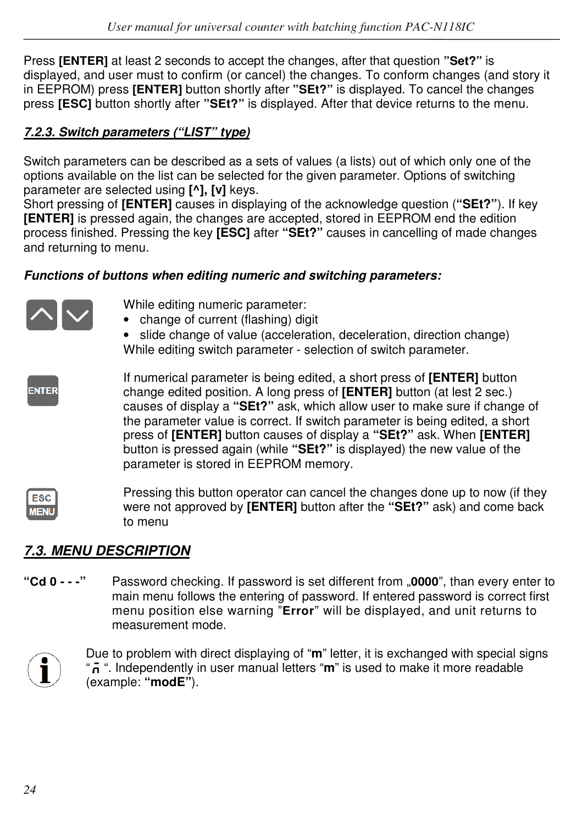Press **[ENTER]** at least 2 seconds to accept the changes, after that question **"Set?"** is displayed, and user must to confirm (or cancel) the changes. To conform changes (and story it in EEPROM) press **[ENTER]** button shortly after **"SEt?"** is displayed. To cancel the changes press **[ESC]** button shortly after **"SEt?"** is displayed. After that device returns to the menu.

## *7.2.3. Switch parameters ("LIST" type)*

Switch parameters can be described as a sets of values (a lists) out of which only one of the options available on the list can be selected for the given parameter. Options of switching parameter are selected using **[^], [v]** keys.

Short pressing of **[ENTER]** causes in displaying of the acknowledge question (**"SEt?"**). If key **[ENTER]** is pressed again, the changes are accepted, stored in EEPROM end the edition process finished. Pressing the key **[ESC]** after **"SEt?"** causes in cancelling of made changes and returning to menu.

#### *Functions of buttons when editing numeric and switching parameters:*



Pressing this button operator can cancel the changes done up to now (if they ESC were not approved by **[ENTER]** button after the **"SEt?"** ask) and come back **MEN** to menu

# *7.3. MENU DESCRIPTION*

**"Cd 0 - - -"** Password checking. If password is set different from "**0000**", than every enter to main menu follows the entering of password. If entered password is correct first menu position else warning "**Error**" will be displayed, and unit returns to measurement mode.



Due to problem with direct displaying of "**m**" letter, it is exchanged with special signs " ". Independently in user manual letters "**m**" is used to make it more readable (example: **"modE"**).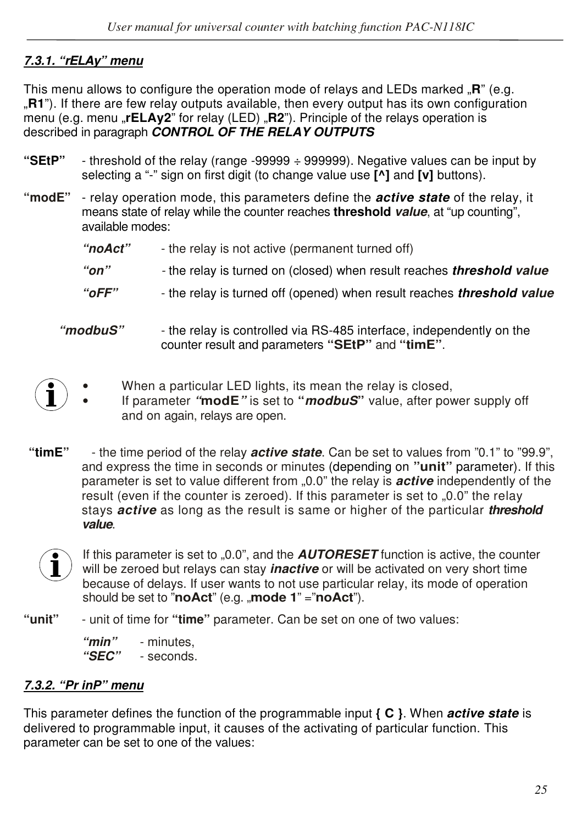### *7.3.1. "rELAy" menu*

This menu allows to configure the operation mode of relays and LEDs marked **.R**" (e.g. "**R1**"). If there are few relay outputs available, then every output has its own configuration menu (e.g. menu **"rELAy2**" for relay (LED) **"R2**"). Principle of the relays operation is described in paragraph *CONTROL OF THE RELAY OUTPUTS*

- **"SEtP"**  threshold of the relay (range -99999 ÷ 999999). Negative values can be input by selecting a "-" sign on first digit (to change value use **[^]** and **[v]** buttons).
- **"modE"**  relay operation mode, this parameters define the *active state* of the relay, it means state of relay while the counter reaches **threshold** *value*, at "up counting", available modes:
	- *"noAct"*  the relay is not active (permanent turned off)
	- *"on" -* the relay is turned on (closed) when result reaches *threshold value*
	- *"oFF"*  the relay is turned off (opened) when result reaches *threshold value*
	- *"modbuS"*  the relay is controlled via RS-485 interface, independently on the counter result and parameters **"SEtP"** and **"timE"**.
		- When a particular LED lights, its mean the relay is closed,
			- If parameter *"***modE***"* is set to **"***modbuS***"** value, after power supply off and on again, relays are open.
- **"timE"**  the time period of the relay *active state*. Can be set to values from "0.1" to "99.9", and express the time in seconds or minutes (depending on **"unit"** parameter). If this parameter is set to value different from "0.0" the relay is *active* independently of the result (even if the counter is zeroed). If this parameter is set to "0.0" the relay stays *active* as long as the result is same or higher of the particular *threshold value*.



If this parameter is set to "0.0", and the **AUTORESET** function is active, the counter will be zeroed but relays can stay *inactive* or will be activated on very short time because of delays. If user wants to not use particular relay, its mode of operation should be set to "**noAct**" (e.g. "**mode 1**" = "**noAct**").

**"unit"** - unit of time for **"time"** parameter. Can be set on one of two values:

 *"min"* - minutes,  *"SEC"* - seconds.

#### *7.3.2. "Pr inP" menu*

This parameter defines the function of the programmable input **{ C }**. When *active state* is delivered to programmable input, it causes of the activating of particular function. This parameter can be set to one of the values: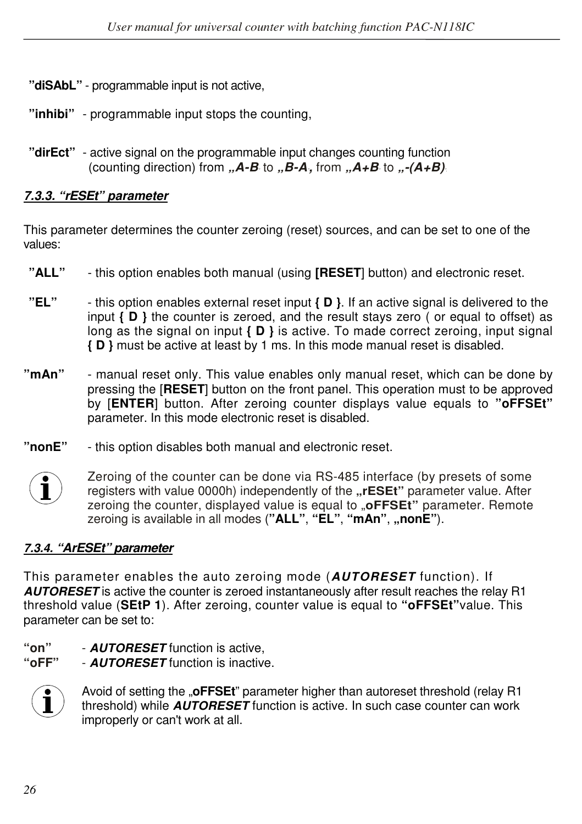- **"diSAbL"**  programmable input is not active,
- **"inhibi"**  programmable input stops the counting,
- **"dirEct"**  active signal on the programmable input changes counting function (counting direction) from  $(A - B \to B - A)$  from  $(A + B \to B - A + B)$ <sup>"</sup>.

### *7.3.3. "rESEt" parameter*

This parameter determines the counter zeroing (reset) sources, and can be set to one of the values:

- **"ALL"**  this option enables both manual (using **[RESET**] button) and electronic reset.
- **"EL"**  this option enables external reset input **{ D }**. If an active signal is delivered to the input **{ D }** the counter is zeroed, and the result stays zero ( or equal to offset) as long as the signal on input **{ D }** is active. To made correct zeroing, input signal **{ D }** must be active at least by 1 ms. In this mode manual reset is disabled.
- **"mAn"**  manual reset only. This value enables only manual reset, which can be done by pressing the [**RESET**] button on the front panel. This operation must to be approved by [**ENTER**] button. After zeroing counter displays value equals to **"oFFSEt"**  parameter. In this mode electronic reset is disabled.
- **"nonE"**  this option disables both manual and electronic reset.



Zeroing of the counter can be done via RS-485 interface (by presets of some Feroing of the counter can be done via HS-485 interface (by presets of some<br> **Telm** registers with value 0000h) independently of the "**rESEt**" parameter value. After zeroing the counter, displayed value is equal to "**oFFSEt**" parameter. Remote zeroing is available in all modes (**"ALL"**, **"EL"**, **"mAn"**, **"nonE"**).

#### *7.3.4. "ArESEt" parameter*

This parameter enables the auto zeroing mode (*AUTORESET* function). If *AUTORESET* is active the counter is zeroed instantaneously after result reaches the relay R1 threshold value (**SEtP 1**). After zeroing, counter value is equal to **"oFFSEt"**value. This parameter can be set to:

**"on"** - *AUTORESET* function is active,

**"oFF"** - *AUTORESET* function is inactive.



Avoid of setting the "**oFFSEt**" parameter higher than autoreset threshold (relay R1 threshold) while *AUTORESET* function is active. In such case counter can work improperly or can't work at all.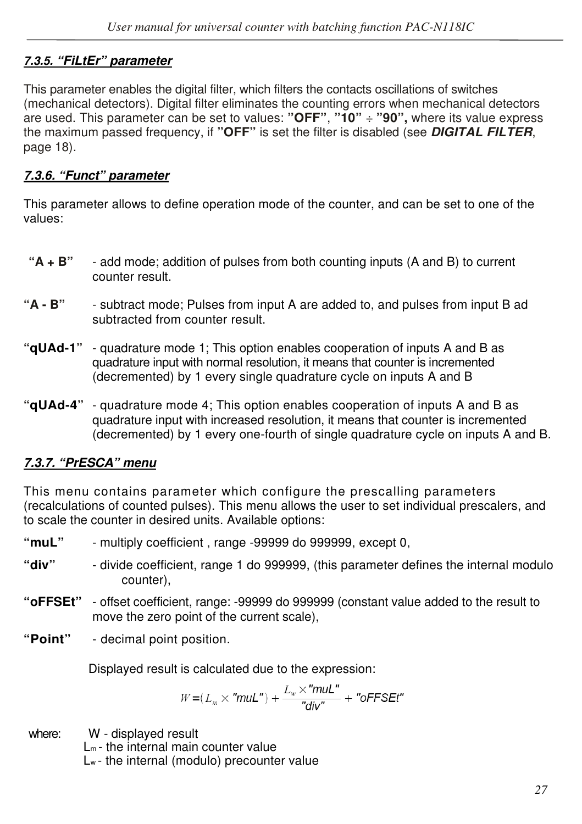#### *7.3.5. "FiLtEr" parameter*

This parameter enables the digital filter, which filters the contacts oscillations of switches (mechanical detectors). Digital filter eliminates the counting errors when mechanical detectors are used. This parameter can be set to values: **"OFF"**, **"10"** ÷ **"90",** where its value express the maximum passed frequency, if **"OFF"** is set the filter is disabled (see *DIGITAL FILTER*, page 18).

#### *7.3.6. "Funct" parameter*

This parameter allows to define operation mode of the counter, and can be set to one of the values:

- **"A + B"**  add mode; addition of pulses from both counting inputs (A and B) to current counter result.
- **"A B"** subtract mode; Pulses from input A are added to, and pulses from input B ad subtracted from counter result.
- **"qUAd-1"**  quadrature mode 1; This option enables cooperation of inputs A and B as quadrature input with normal resolution, it means that counter is incremented (decremented) by 1 every single quadrature cycle on inputs A and B
- **"qUAd-4"**  quadrature mode 4; This option enables cooperation of inputs A and B as quadrature input with increased resolution, it means that counter is incremented (decremented) by 1 every one-fourth of single quadrature cycle on inputs A and B.

#### *7.3.7. "PrESCA" menu*

This menu contains parameter which configure the prescalling parameters (recalculations of counted pulses). This menu allows the user to set individual prescalers, and to scale the counter in desired units. Available options:

- **"muL"**  multiply coefficient , range -99999 do 999999, except 0,
- **"div"**  divide coefficient, range 1 do 999999, (this parameter defines the internal modulo counter),
- **"oFFSEt"**  offset coefficient, range: -99999 do 999999 (constant value added to the result to move the zero point of the current scale),
- **"Point"**  decimal point position.

Displayed result is calculated due to the expression:

$$
W{=}(\textit{L}_{\mathit{m}}{\,\times\,}''\textit{mult}'')+{\textit{L}_{\mathit{w}}{\,\times\,}''\textit{mult}''\over\textit{``div''}}+ \textit{``oFFSEt''}
$$

where: W - displayed result

 $L_m$ - the internal main counter value

Lw - the internal (modulo) precounter value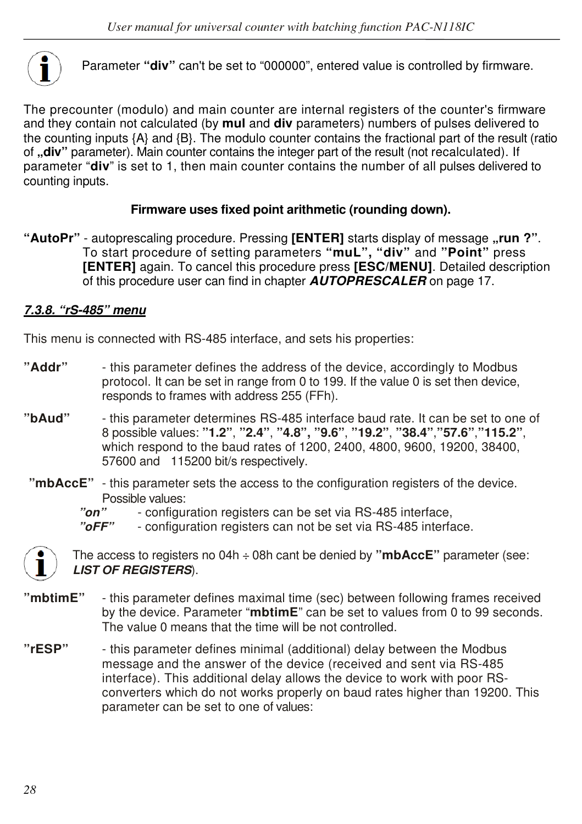

Parameter **"div"** can't be set to "000000", entered value is controlled by firmware.

The precounter (modulo) and main counter are internal registers of the counter's firmware and they contain not calculated (by **mul** and **div** parameters) numbers of pulses delivered to the counting inputs {A} and {B}. The modulo counter contains the fractional part of the result (ratio of **"div**" parameter). Main counter contains the integer part of the result (not recalculated). If parameter "**div**" is set to 1, then main counter contains the number of all pulses delivered to counting inputs.

#### **Firmware uses fixed point arithmetic (rounding down).**

**"AutoPr"** - autoprescaling procedure. Pressing **[ENTER]** starts display of message **"run ?"**. To start procedure of setting parameters **"muL", "div"** and **"Point"** press **[ENTER]** again. To cancel this procedure press **[ESC/MENU]**. Detailed description of this procedure user can find in chapter *AUTOPRESCALER* on page 17.

#### *7.3.8. "rS-485" menu*

This menu is connected with RS-485 interface, and sets his properties:

- **"Addr"**  this parameter defines the address of the device, accordingly to Modbus protocol. It can be set in range from 0 to 199. If the value 0 is set then device, responds to frames with address 255 (FFh).
- **"bAud"**  this parameter determines RS-485 interface baud rate. It can be set to one of 8 possible values: **"1.2"**, **"2.4"**, **"4.8", "9.6"**, **"19.2"**, **"38.4"**,**"57.6"**,**"115.2"**, which respond to the baud rates of 1200, 2400, 4800, 9600, 19200, 38400, 57600 and 115200 bit/s respectively.
	- **"mbAccE"**  this parameter sets the access to the configuration registers of the device. Possible values:
		- *"on"*  configuration registers can be set via RS-485 interface,

*"oFF"* - configuration registers can not be set via RS-485 interface.



 The access to registers no 04h ÷ 08h cant be denied by **"mbAccE"** parameter (see: *LIST OF REGISTERS*).

- **"mbtimE"**  this parameter defines maximal time (sec) between following frames received by the device. Parameter "**mbtimE**" can be set to values from 0 to 99 seconds. The value 0 means that the time will be not controlled.
- **"rESP"**  this parameter defines minimal (additional) delay between the Modbus message and the answer of the device (received and sent via RS-485 interface). This additional delay allows the device to work with poor RS converters which do not works properly on baud rates higher than 19200. This parameter can be set to one of values: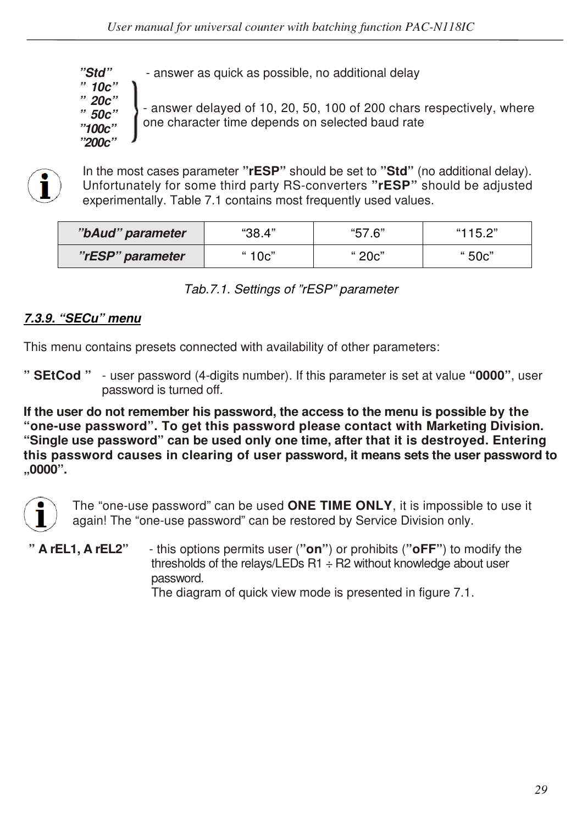*"Std"* - answer as quick as possible, no additional delay

*" 10c" " 20c" " 50c" "100c" "200c"* 

- answer delayed of 10, 20, 50, 100 of 200 chars respectively, where one character time depends on selected baud rate



In the most cases parameter "rESP" should be set to "Std" (no additional delay).<br>Unfortunately for some third party RS-converters "rESP" should be adjusted Unfortunately for some third party RS-converters **"rESP"** should be adjusted experimentally. Table 7.1 contains most frequently used values.

| "bAud" parameter | "38.4" | "57.6" | "115.2" |
|------------------|--------|--------|---------|
| "rESP" parameter | " 10c" | " 20c" | " 50c"  |

| Tab.7.1. Settings of "rESP" parameter |  |  |
|---------------------------------------|--|--|

#### *7.3.9. "SECu" menu*

This menu contains presets connected with availability of other parameters:

**" SEtCod "** - user password (4-digits number). If this parameter is set at value **"0000"**, user password is turned off.

**If the user do not remember his password, the access to the menu is possible by the "one-use password". To get this password please contact with Marketing Division. "Single use password" can be used only one time, after that it is destroyed. Entering this password causes in clearing of user password, it means sets the user password to "0000".**



 The "one-use password" can be used **ONE TIME ONLY**, it is impossible to use it again! The "one-use password" can be restored by Service Division only.

**" A rEL1, A rEL2"** - this options permits user (**"on"**) or prohibits (**"oFF"**) to modify the thresholds of the relays/LEDs  $R1 \div R2$  without knowledge about user password.

The diagram of quick view mode is presented in figure 7.1.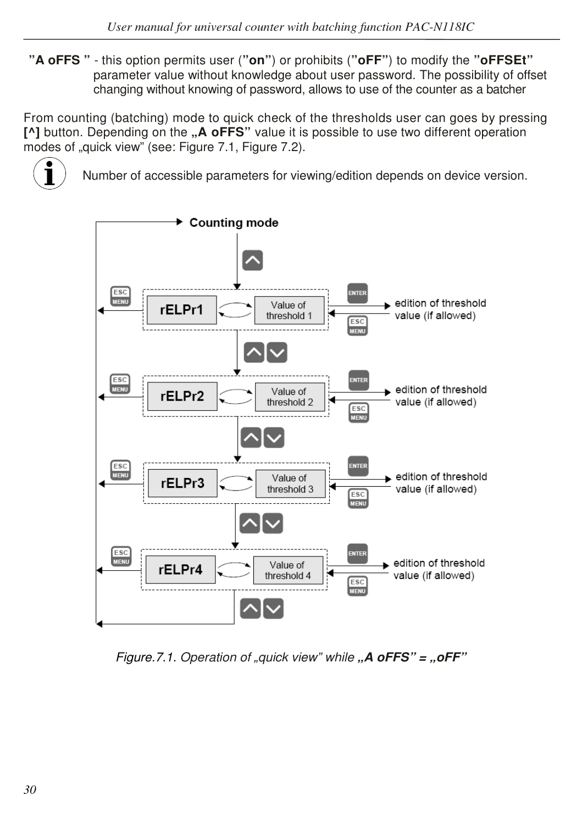**"A oFFS "** - this option permits user (**"on"**) or prohibits (**"oFF"**) to modify the **"oFFSEt"** parameter value without knowledge about user password. The possibility of offset changing without knowing of password, allows to use of the counter as a batcher

From counting (batching) mode to quick check of the thresholds user can goes by pressing **[^]** button. Depending on the **"A oFFS"** value it is possible to use two different operation modes of "quick view" (see: Figure 7.1, Figure 7.2).



Number of accessible parameters for viewing/edition depends on device version.



*Figure.7.1. Operation of "quick view" while "A oFFS" = "oFF"*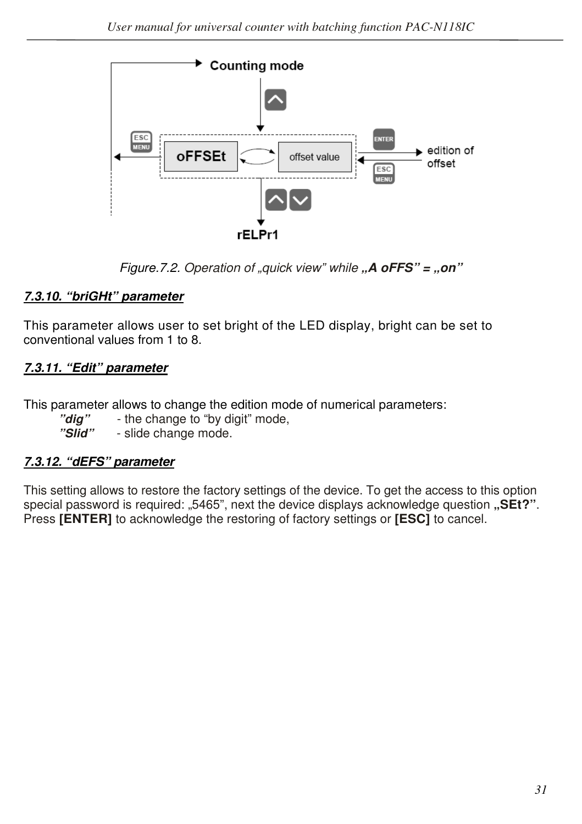

*Figure.7.2. Operation of "quick view" while* "A oFFS" = "on"

# *7.3.10. "briGHt" parameter*

This parameter allows user to set bright of the LED display, bright can be set to conventional values from 1 to 8.

# *7.3.11. "Edit" parameter*

This parameter allows to change the edition mode of numerical parameters:

- "**dig**" the change to "by digit" mode,<br>"Slid" slide change mode.
	- slide change mode.

#### *7.3.12. "dEFS" parameter*

This setting allows to restore the factory settings of the device. To get the access to this option special password is required: "5465", next the device displays acknowledge question "SEt?". Press **[ENTER]** to acknowledge the restoring of factory settings or **[ESC]** to cancel.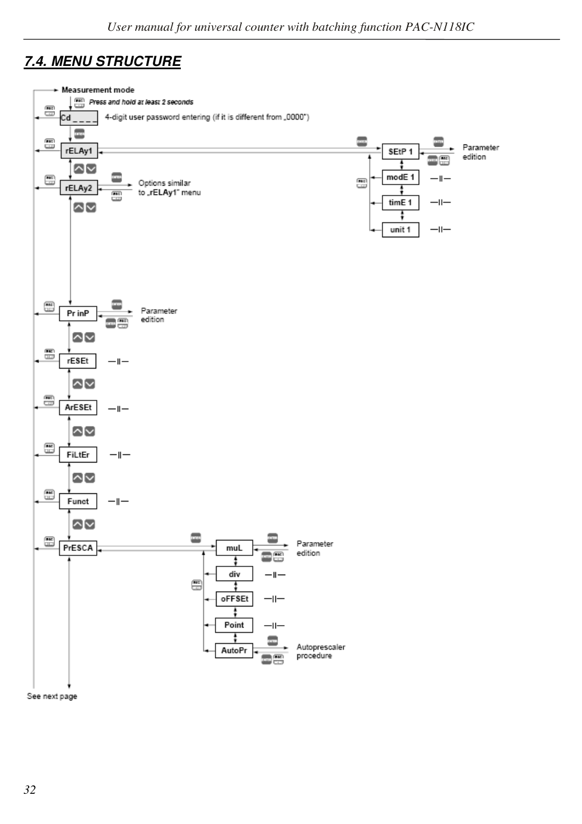# *7.4. MENU STRUCTURE*



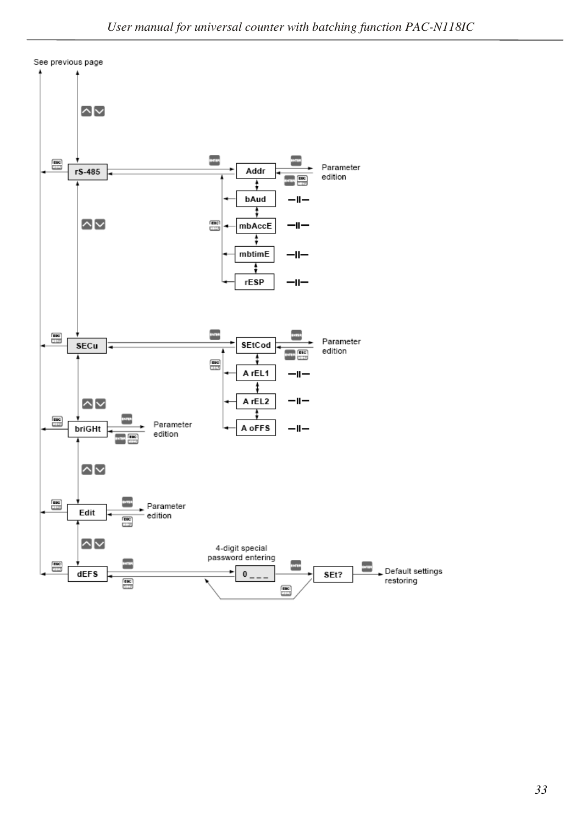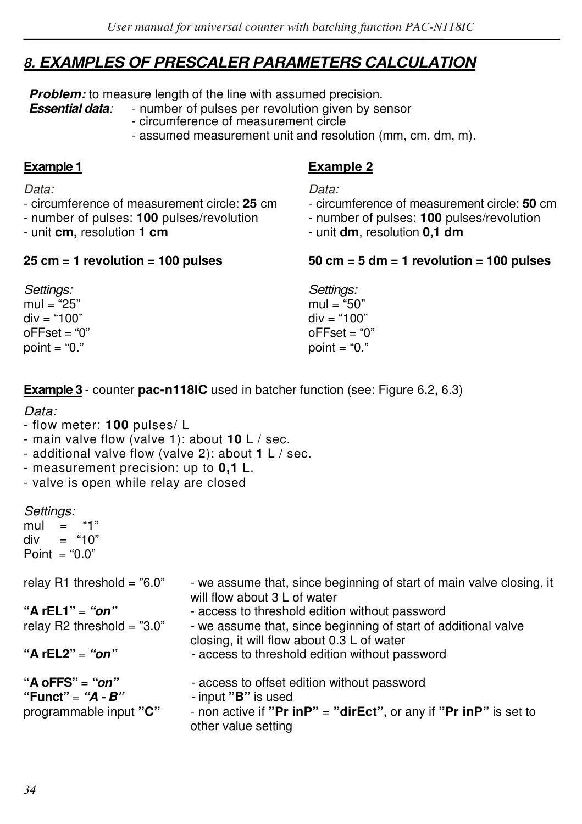# *8. EXAMPLES OF PRESCALER PARAMETERS CALCULATION*

**Problem:** to measure length of the line with assumed precision.<br>**Essential data**: **Figure** 1 - number of pulses per revolution given by se

*Essential data:* - number of pulses per revolution given by sensor

- circumference of measurement circle
- assumed measurement unit and resolution (mm, cm, dm, m).

#### **Example 1 Example 2**

- *Data: Data:*
- circumference of measurement circle: **25** cm circumference of measurement circle: **50** cm - number of pulses: **100** pulses/revolution - number of pulses: **100** pulses/revolution
- unit **cm,** resolution **1 cm**  unit **dm**, resolution **0,1 dm**

#### **25 cm = 1 revolution = 100 pulses 50 cm = 5 dm = 1 revolution = 100 pulses**

| Settings:<br>mul = "25"<br>div = "100" | Settings:<br>mul = "50"<br>$div = "100"$ |
|----------------------------------------|------------------------------------------|
| oFFset = "0"                           | $o$ FFset = "0"                          |
| point = "0."                           | point = " $0$ ."                         |

**Example 3** - counter **pac-n118IC** used in batcher function (see: Figure 6.2, 6.3)

#### *Data:*

- flow meter: **100** pulses/ L
- main valve flow (valve 1): about **10** L / sec.
- additional valve flow (valve 2): about **1** L / sec.
- measurement precision: up to **0,1** L.
- valve is open while relay are closed

*Settings:* 

mul = "1"<br>div = "10"  $=$  "10" Point = " $0.0$ "

| relay R1 threshold = $"6.0"$                                       | - we assume that, since beginning of start of main valve closing, it                                                                             |
|--------------------------------------------------------------------|--------------------------------------------------------------------------------------------------------------------------------------------------|
| "A rEL1" = " $on$ "<br>relay R2 threshold = $"3.0"$                | will flow about 3 L of water<br>- access to threshold edition without password<br>- we assume that, since beginning of start of additional valve |
| "A rEL2" = " $on$ "                                                | closing, it will flow about 0.3 L of water<br>- access to threshold edition without password                                                     |
| "A oFFS" = "on"<br>"Funct" = " $A - B$ "<br>programmable input "C" | - access to offset edition without password<br>- input " <b>B</b> " is used<br>- non active if "Pr inP" = "dirEct", or any if "Pr inP" is set to |

other value setting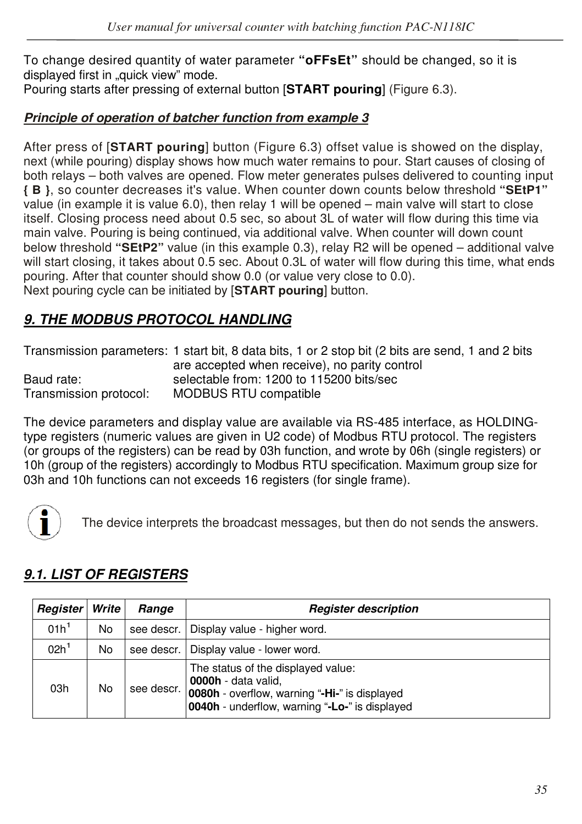To change desired quantity of water parameter **"oFFsEt"** should be changed, so it is displayed first in "quick view" mode.

Pouring starts after pressing of external button [**START pouring**] (Figure 6.3).

### *Principle of operation of batcher function from example 3*

After press of [**START pouring**] button (Figure 6.3) offset value is showed on the display, next (while pouring) display shows how much water remains to pour. Start causes of closing of both relays – both valves are opened. Flow meter generates pulses delivered to counting input **{ B }**, so counter decreases it's value. When counter down counts below threshold **"SEtP1"**  value (in example it is value 6.0), then relay 1 will be opened – main valve will start to close itself. Closing process need about 0.5 sec, so about 3L of water will flow during this time via main valve. Pouring is being continued, via additional valve. When counter will down count below threshold **"SEtP2"** value (in this example 0.3), relay R2 will be opened – additional valve will start closing, it takes about 0.5 sec. About 0.3L of water will flow during this time, what ends pouring. After that counter should show 0.0 (or value very close to 0.0). Next pouring cycle can be initiated by [**START pouring**] button.

# *9. THE MODBUS PROTOCOL HANDLING*

Transmission parameters: 1 start bit, 8 data bits, 1 or 2 stop bit (2 bits are send, 1 and 2 bits are accepted when receive), no parity control Baud rate: selectable from: 1200 to 115200 bits/sec Transmission protocol: MODBUS RTU compatible

The device parameters and display value are available via RS-485 interface, as HOLDINGtype registers (numeric values are given in U2 code) of Modbus RTU protocol. The registers (or groups of the registers) can be read by 03h function, and wrote by 06h (single registers) or 10h (group of the registers) accordingly to Modbus RTU specification. Maximum group size for 03h and 10h functions can not exceeds 16 registers (for single frame).



The device interprets the broadcast messages, but then do not sends the answers.

# *9.1. LIST OF REGISTERS*

| Register         | Write | Range      | <b>Register description</b>                                                                                                                                         |  |  |  |  |
|------------------|-------|------------|---------------------------------------------------------------------------------------------------------------------------------------------------------------------|--|--|--|--|
| 01h <sup>1</sup> | No    | see descr. | Display value - higher word.                                                                                                                                        |  |  |  |  |
| 02h <sup>1</sup> | No    | see descr. | Display value - lower word.                                                                                                                                         |  |  |  |  |
| 03h              | No    | see descr. | The status of the displayed value:<br>0000h - data valid.<br>0080h - overflow, warning "-Hi-" is displayed<br><b>0040h</b> - underflow, warning "-Lo-" is displayed |  |  |  |  |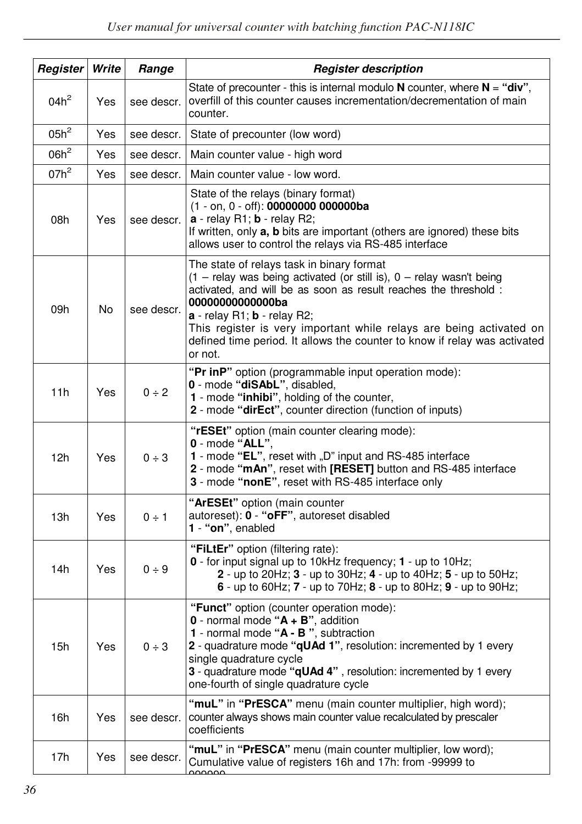| Register | Write | Range      | <b>Register description</b>                                                                                                                                                                                                                                                                                                                                                                                 |  |  |  |  |  |
|----------|-------|------------|-------------------------------------------------------------------------------------------------------------------------------------------------------------------------------------------------------------------------------------------------------------------------------------------------------------------------------------------------------------------------------------------------------------|--|--|--|--|--|
| $04h^2$  | Yes   | see descr. | State of precounter - this is internal modulo N counter, where $N = "div",$<br>overfill of this counter causes incrementation/decrementation of main<br>counter.                                                                                                                                                                                                                                            |  |  |  |  |  |
| $05h^2$  | Yes   | see descr. | State of precounter (low word)                                                                                                                                                                                                                                                                                                                                                                              |  |  |  |  |  |
| $06h^2$  | Yes   | see descr. | Main counter value - high word                                                                                                                                                                                                                                                                                                                                                                              |  |  |  |  |  |
| $07h^2$  | Yes   | see descr. | Main counter value - low word.                                                                                                                                                                                                                                                                                                                                                                              |  |  |  |  |  |
| 08h      | Yes   | see descr. | State of the relays (binary format)<br>(1 - on, 0 - off): 00000000 000000ba<br>a - relay R1; b - relay R2;<br>If written, only a, b bits are important (others are ignored) these bits<br>allows user to control the relays via RS-485 interface                                                                                                                                                            |  |  |  |  |  |
| 09h      | No    | see descr. | The state of relays task in binary format<br>(1 - relay was being activated (or still is), 0 - relay wasn't being<br>activated, and will be as soon as result reaches the threshold :<br>00000000000000ba<br>$a$ - relay R1; $b$ - relay R2;<br>This register is very important while relays are being activated on<br>defined time period. It allows the counter to know if relay was activated<br>or not. |  |  |  |  |  |
| 11h      | Yes   | $0 \div 2$ | "Pr inP" option (programmable input operation mode):<br>0 - mode "diSAbL", disabled,<br>1 - mode "inhibi", holding of the counter,<br>2 - mode "dirEct", counter direction (function of inputs)                                                                                                                                                                                                             |  |  |  |  |  |
| 12h      | Yes   | 0 ÷ 3      | "rESEt" option (main counter clearing mode):<br>$0$ - mode "ALL",<br>1 - mode "EL", reset with "D" input and RS-485 interface<br>2 - mode "mAn", reset with [RESET] button and RS-485 interface<br>3 - mode "nonE", reset with RS-485 interface only                                                                                                                                                        |  |  |  |  |  |
| 13h      | Yes   | $0 \div 1$ | "ArESEt" option (main counter<br>autoreset): 0 - "oFF", autoreset disabled<br>1 - "on", enabled                                                                                                                                                                                                                                                                                                             |  |  |  |  |  |
| 14h      | Yes   | 0 ÷ 9      | "FiLtEr" option (filtering rate):<br>0 - for input signal up to 10kHz frequency; 1 - up to 10Hz;<br>2 - up to 20Hz; 3 - up to 30Hz; 4 - up to 40Hz; 5 - up to 50Hz;<br>6 - up to 60Hz; $7$ - up to 70Hz; $8$ - up to 80Hz; $9$ - up to 90Hz;                                                                                                                                                                |  |  |  |  |  |
| 15h      | Yes   | 0 ÷ 3      | "Funct" option (counter operation mode):<br>$0$ - normal mode " $A + B$ ", addition<br>1 - normal mode "A - B", subtraction<br>2 - quadrature mode "qUAd 1", resolution: incremented by 1 every<br>single quadrature cycle<br>3 - quadrature mode "qUAd 4", resolution: incremented by 1 every<br>one-fourth of single quadrature cycle                                                                     |  |  |  |  |  |
| 16h      | Yes   | see descr. | "muL" in "PrESCA" menu (main counter multiplier, high word);<br>counter always shows main counter value recalculated by prescaler<br>coefficients                                                                                                                                                                                                                                                           |  |  |  |  |  |
| 17h      | Yes   | see descr. | "muL" in "PrESCA" menu (main counter multiplier, low word);<br>Cumulative value of registers 16h and 17h: from -99999 to<br>مممممه                                                                                                                                                                                                                                                                          |  |  |  |  |  |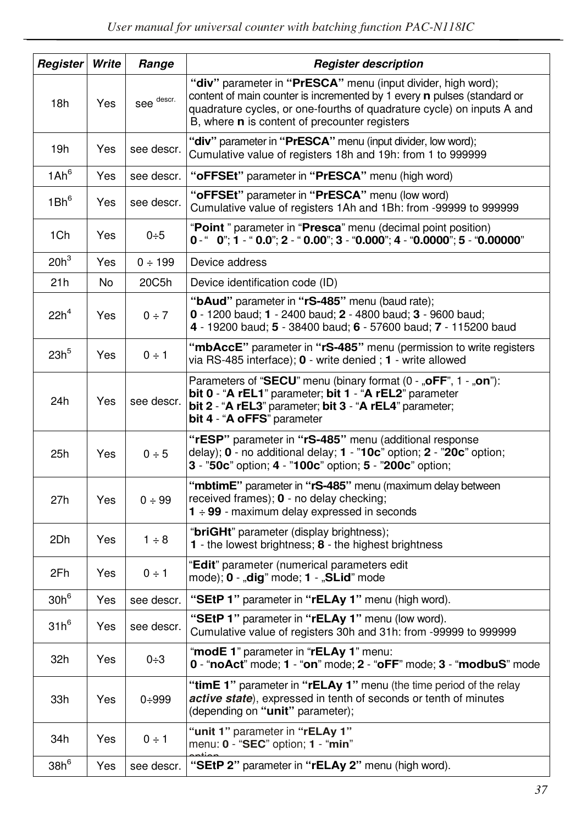| Register         | Write | Range        | <b>Register description</b>                                                                                                                                                                                                                                                      |  |  |  |  |  |
|------------------|-------|--------------|----------------------------------------------------------------------------------------------------------------------------------------------------------------------------------------------------------------------------------------------------------------------------------|--|--|--|--|--|
| 18h              | Yes   | see descr.   | "div" parameter in "PrESCA" menu (input divider, high word);<br>content of main counter is incremented by 1 every <b>n</b> pulses (standard or<br>quadrature cycles, or one-fourths of quadrature cycle) on inputs A and<br>B, where <b>n</b> is content of precounter registers |  |  |  |  |  |
| 19h              | Yes   | see descr.   | "div" parameter in "PrESCA" menu (input divider, low word);<br>Cumulative value of registers 18h and 19h: from 1 to 999999                                                                                                                                                       |  |  |  |  |  |
| 1Ah <sup>6</sup> | Yes   | see descr.   | " <b>oFFSEt</b> " parameter in "PrESCA" menu (high word)                                                                                                                                                                                                                         |  |  |  |  |  |
| $1Bh^6$          | Yes   | see descr.   | "oFFSEt" parameter in "PrESCA" menu (low word)<br>Cumulative value of registers 1Ah and 1Bh: from -99999 to 999999                                                                                                                                                               |  |  |  |  |  |
| 1Ch              | Yes   | 0÷5          | "Point" parameter in "Presca" menu (decimal point position)<br>$0 -$ " $0$ ", 1 - " $0.0$ ", 2 - " $0.00$ ", 3 - " $0.000$ ", 4 - " $0.0000$ ", 5 - " $0.00000$ "                                                                                                                |  |  |  |  |  |
| $20h^3$          | Yes   | $0 \div 199$ | Device address                                                                                                                                                                                                                                                                   |  |  |  |  |  |
| 21h              | No    | 20C5h        | Device identification code (ID)                                                                                                                                                                                                                                                  |  |  |  |  |  |
| 22h <sup>4</sup> | Yes   | $0 \div 7$   | "bAud" parameter in "rS-485" menu (baud rate);<br>0 - 1200 baud; 1 - 2400 baud; 2 - 4800 baud; 3 - 9600 baud;<br>4 - 19200 baud; 5 - 38400 baud; 6 - 57600 baud; 7 - 115200 baud                                                                                                 |  |  |  |  |  |
| 23h <sup>5</sup> | Yes   | $0 \div 1$   | "mbAccE" parameter in "rS-485" menu (permission to write registers<br>via RS-485 interface); 0 - write denied; 1 - write allowed                                                                                                                                                 |  |  |  |  |  |
| 24h              | Yes   | see descr.   | Parameters of "SECU" menu (binary format $(0 - 0.0$ FF", 1 $- 0.0$ m"):<br>bit 0 - "A rEL1" parameter; bit 1 - "A rEL2" parameter<br>bit 2 - "A rEL3" parameter; bit 3 - "A rEL4" parameter;<br>bit 4 - "A oFFS" parameter                                                       |  |  |  |  |  |
| 25h              | Yes   | 0 ÷ 5        | "rESP" parameter in "rS-485" menu (additional response<br>delay); $0$ - no additional delay; $1 - 70c$ option; $2 - 720c$ option;<br>3 - "50c" option; 4 - "100c" option; 5 - "200c" option;                                                                                     |  |  |  |  |  |
| 27h              | Yes   | 0 ÷ 99       | "mbtimE" parameter in "rS-485" menu (maximum delay between<br>received frames); <b>0</b> - no delay checking;<br>$1 \div 99$ - maximum delay expressed in seconds                                                                                                                |  |  |  |  |  |
| 2Dh              | Yes   | $1 \div 8$   | "briGHt" parameter (display brightness);<br><b>1</b> - the lowest brightness; $8$ - the highest brightness                                                                                                                                                                       |  |  |  |  |  |
| 2Fh              | Yes.  | $0 \div 1$   | "Edit" parameter (numerical parameters edit<br>mode); 0 - "dig" mode; 1 - "SLid" mode                                                                                                                                                                                            |  |  |  |  |  |
| $30h^6$          | Yes   | see descr.   | "SEtP 1" parameter in "rELAy 1" menu (high word).                                                                                                                                                                                                                                |  |  |  |  |  |
| $31h^6$          | Yes   | see descr.   | "SEtP 1" parameter in "rELAy 1" menu (low word).<br>Cumulative value of registers 30h and 31h: from -99999 to 999999                                                                                                                                                             |  |  |  |  |  |
| 32h              | Yes   | $0 + 3$      | "modE 1" parameter in "rELAy 1" menu:<br>0 - "noAct" mode; 1 - "on" mode; 2 - "oFF" mode; 3 - "modbuS" mode                                                                                                                                                                      |  |  |  |  |  |
| 33h              | Yes   | $0 + 999$    | "timE 1" parameter in "rELAy 1" menu (the time period of the relay<br>active state), expressed in tenth of seconds or tenth of minutes<br>(depending on "unit" parameter);                                                                                                       |  |  |  |  |  |
| 34h              | Yes   | $0 \div 1$   | "unit 1" parameter in "rELAy 1"<br>menu: 0 - "SEC" option; 1 - "min"                                                                                                                                                                                                             |  |  |  |  |  |
| $38h^6$          | Yes   | see descr.   | "SEtP 2" parameter in "rELAy 2" menu (high word).                                                                                                                                                                                                                                |  |  |  |  |  |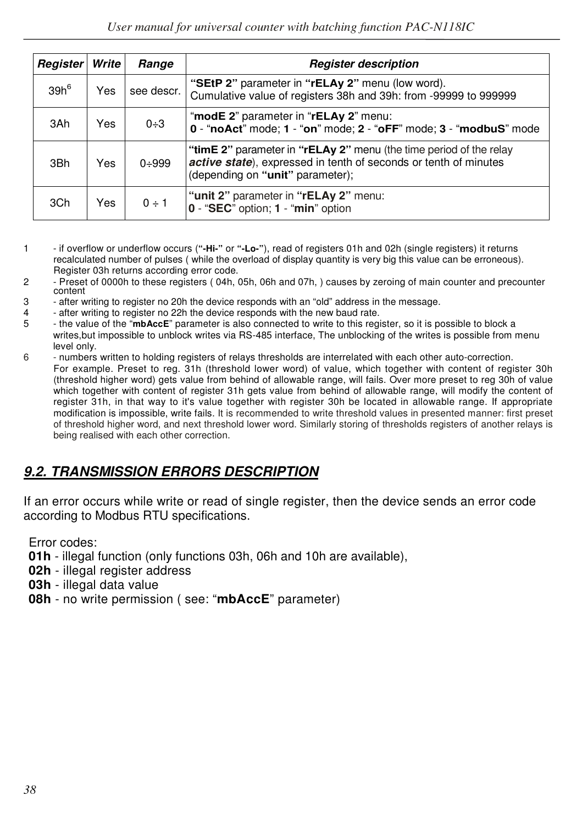| Register | Write | Range      | <b>Register description</b>                                                                                                                                                |
|----------|-------|------------|----------------------------------------------------------------------------------------------------------------------------------------------------------------------------|
| $39h^6$  | Yes   | see descr. | "SEtP 2" parameter in "rELAy 2" menu (low word).<br>Cumulative value of registers 38h and 39h: from -99999 to 999999                                                       |
| 3Ah      | Yes   | $0 + 3$    | "modE 2" parameter in "rELAy 2" menu:<br>$0$ - "noAct" mode; $1$ - "on" mode; $2$ - "oFF" mode; $3$ - "modbuS" mode                                                        |
| 3Bh      | Yes   | $0 + 999$  | "timE 2" parameter in "rELAy 2" menu (the time period of the relay<br>active state), expressed in tenth of seconds or tenth of minutes<br>(depending on "unit" parameter); |
| 3Ch      | Yes   | $0 \div 1$ | "unit 2" parameter in "rELAy 2" menu:<br>0 - "SEC" option; 1 - "min" option                                                                                                |

- 1 if overflow or underflow occurs (**"-Hi-"** or **"-Lo-"**), read of registers 01h and 02h (single registers) it returns recalculated number of pulses ( while the overload of display quantity is very big this value can be erroneous). Register 03h returns according error code.
- 2 Preset of 0000h to these registers ( 04h, 05h, 06h and 07h, ) causes by zeroing of main counter and precounter content
- 3 after writing to register no 20h the device responds with an "old" address in the message.
- 4 after writing to register no 22h the device responds with the new baud rate.<br>5 the value of the "mhaccE" parameter is also connected to write to this regi
- 5 the value of the "**mbAccE**" parameter is also connected to write to this register, so it is possible to block a writes, but impossible to unblock writes via RS-485 interface. The unblocking of the writes is possible from menu level only.<br>6 mumbers
- numbers written to holding registers of relays thresholds are interrelated with each other auto-correction.
	- For example. Preset to reg. 31h (threshold lower word) of value, which together with content of register 30h (threshold higher word) gets value from behind of allowable range, will fails. Over more preset to reg 30h of value which together with content of register 31h gets value from behind of allowable range, will modify the content of register 31h, in that way to it's value together with register 30h be located in allowable range. If appropriate modification is impossible, write fails. It is recommended to write threshold values in presented manner: first preset of threshold higher word, and next threshold lower word. Similarly storing of thresholds registers of another relays is being realised with each other correction.

# *9.2. TRANSMISSION ERRORS DESCRIPTION*

If an error occurs while write or read of single register, then the device sends an error code according to Modbus RTU specifications.

Error codes:

- **01h**  illegal function (only functions 03h, 06h and 10h are available),
- **02h**  illegal register address
- **03h**  illegal data value
- **08h**  no write permission ( see: "**mbAccE**" parameter)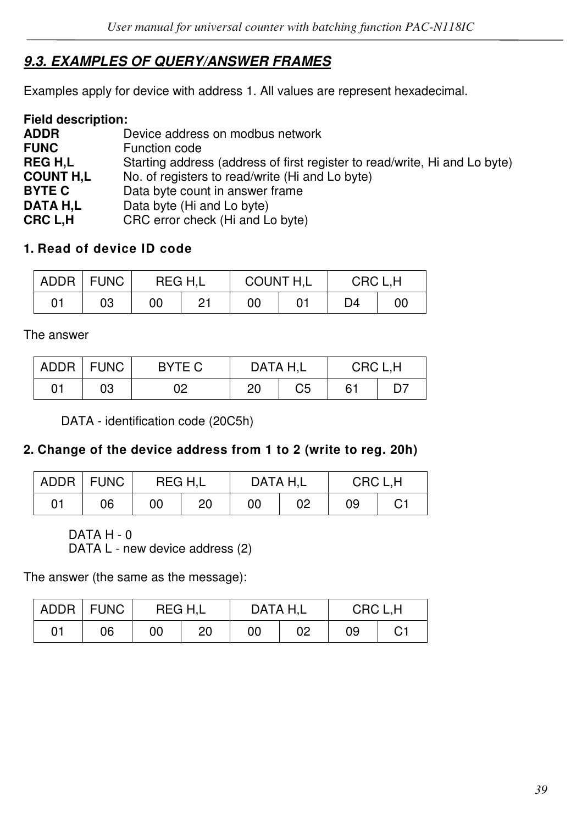# *9.3. EXAMPLES OF QUERY/ANSWER FRAMES*

Examples apply for device with address 1. All values are represent hexadecimal.

| <b>Field description:</b> |                                                                            |
|---------------------------|----------------------------------------------------------------------------|
| <b>ADDR</b>               | Device address on modbus network                                           |
| <b>FUNC</b>               | Function code                                                              |
| <b>REGH.L</b>             | Starting address (address of first register to read/write, Hi and Lo byte) |
| <b>COUNT H.L</b>          | No. of registers to read/write (Hi and Lo byte)                            |
| <b>BYTE C</b>             | Data byte count in answer frame                                            |
| DATA H.L                  | Data byte (Hi and Lo byte)                                                 |
| CRC L.H                   | CRC error check (Hi and Lo byte)                                           |

#### **1. Read of device ID code**

| ADDR | <b>FUNC</b> |    | REG H.L | COUNT H,L |    | CRC L.H |  |
|------|-------------|----|---------|-----------|----|---------|--|
| 01   | 03          | 00 | ດ-1     | 00        | D4 | 00      |  |

The answer

|    | ADDR   FUNC | BYTE C | DATA H.L |    | CRC L.H |    |  |
|----|-------------|--------|----------|----|---------|----|--|
| 01 | 03          | 02     | 20       | C5 | 61      | D7 |  |

DATA - identification code (20C5h)

#### **2. Change of the device address from 1 to 2 (write to reg. 20h)**

|    | ADDR FUNC | REG H.L |    | DATA H.L |    | CRC L.H |    |
|----|-----------|---------|----|----------|----|---------|----|
| 01 | 06        | 00      | 20 | 00       | 02 | 09      | C1 |

DATA H - 0

DATA L - new device address (2)

The answer (the same as the message):

|    | ADDR   FUNC | REG H.L |    | DATA H.L |    | CRC L.H |    |  |
|----|-------------|---------|----|----------|----|---------|----|--|
| 01 | 06          | 00      | 20 | 00       | 02 | 09      | С1 |  |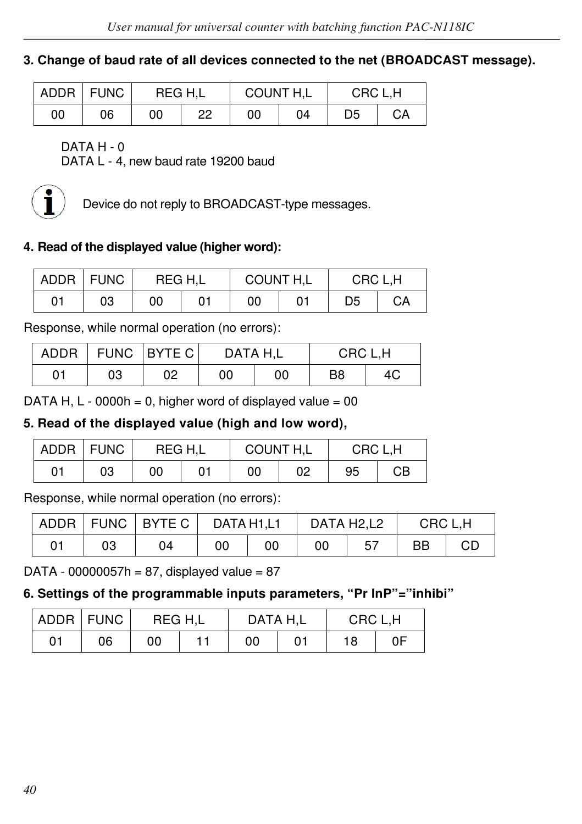#### **3. Change of baud rate of all devices connected to the net (BROADCAST message).**

|    | ADDR   FUNC | REG H.L |    | <b>COUNT H,L</b> |    | CRC L.H |    |
|----|-------------|---------|----|------------------|----|---------|----|
| 00 | 06          | 00      | 22 | 00               | 04 | D5      | CA |

DATA H - 0

DATA L - 4, new baud rate 19200 baud



Device do not reply to BROADCAST-type messages.

#### **4. Read of the displayed value (higher word):**

| ADDR | <b>FUNC</b> | REG H.L |    | COUNT H,L |  | CRC L.H |    |  |
|------|-------------|---------|----|-----------|--|---------|----|--|
| 01   | 03          | 00      | 01 | 00        |  | D5      | CА |  |

Response, while normal operation (no errors):

| ADDR |    | FUNC BYTE C | DATA H.L |    | CRC L.H |    |  |
|------|----|-------------|----------|----|---------|----|--|
| 01   | 03 | 02          | 00       | 00 | B8      | 4C |  |

DATA H,  $L - 0000h = 0$ , higher word of displayed value = 00

#### **5. Read of the displayed value (high and low word),**

|    | ADDR FUNC | REG H,L |    | COUNT H,L |    | CRC L,H |    |
|----|-----------|---------|----|-----------|----|---------|----|
| 01 | 03        | 00      | 01 | 00        | 02 | 95      | CВ |

Response, while normal operation (no errors):

| ADDR |    | FUNC   BYTE C | DATA H1.L1 |    | DATA H2.L2 |     | CRC L.H |    |
|------|----|---------------|------------|----|------------|-----|---------|----|
| 01   | 03 | 04            | 00         | 00 | 00         | -57 | BB      | CD |

DATA - 00000057h = 87, displayed value =  $87$ 

**6. Settings of the programmable inputs parameters, "Pr InP"="inhibi"**

| ADDR   FUNC |    |    | REG H.L | DATA H.L |             | CRC L.H |    |
|-------------|----|----|---------|----------|-------------|---------|----|
| 01          | 06 | 00 |         | 00       | $^{\prime}$ | 18      | 0F |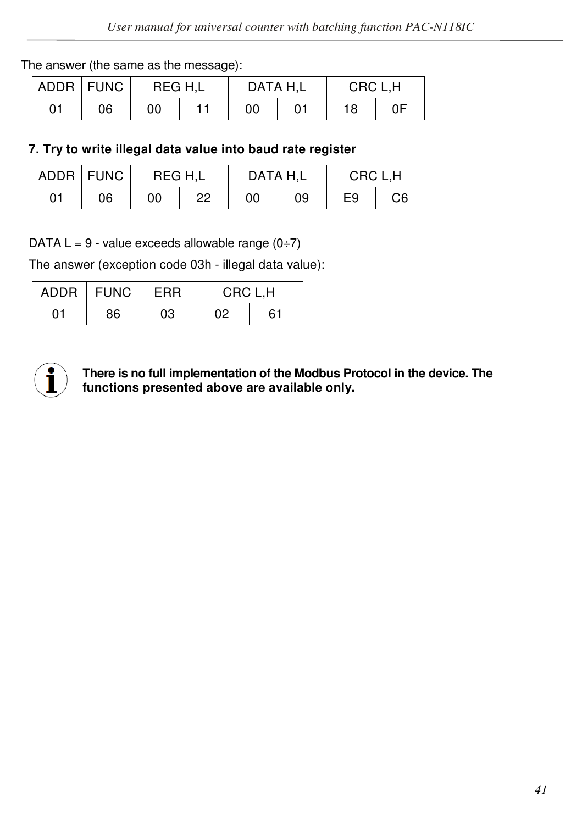#### The answer (the same as the message):

| ADDR FUNC |    | REG H.L | DATA H.L |  | CRC L.H |    |
|-----------|----|---------|----------|--|---------|----|
| 01        | 06 | 00      | 00       |  | 18      | 0F |

#### **7. Try to write illegal data value into baud rate register**

|    | ADDR FUNC |    | REG H.L | DATA H.L |    | CRC L.H |    |
|----|-----------|----|---------|----------|----|---------|----|
| 01 | 06        | 00 | 22      | 00       | 09 | E9      | C6 |

DATA  $L = 9$  - value exceeds allowable range  $(0\div 7)$ 

The answer (exception code 03h - illegal data value):

| ADDR | ∣ FUNC | FRR | CRC L.H |    |  |
|------|--------|-----|---------|----|--|
| 01   | 86     | 03  | 02      | 61 |  |



 **There is no full implementation of the Modbus Protocol in the device. The functions presented above are available only.**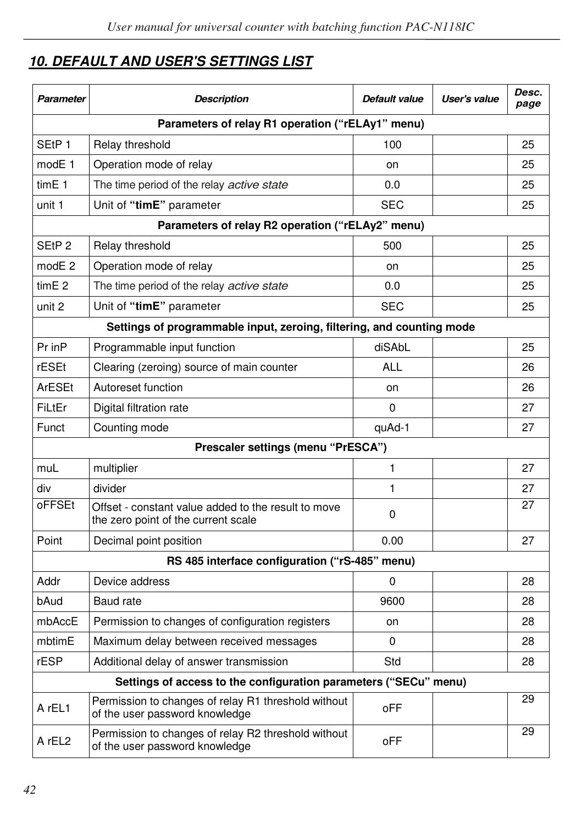# *10. DEFAULT AND USER'S SETTINGS LIST*

| Parameter          | <b>Description</b>                                                                         | Default value | User's value | Desc.<br>page |  |  |  |  |
|--------------------|--------------------------------------------------------------------------------------------|---------------|--------------|---------------|--|--|--|--|
|                    | Parameters of relay R1 operation ("rELAy1" menu)                                           |               |              |               |  |  |  |  |
| SE <sub>tP1</sub>  | Relay threshold                                                                            | 100           |              | 25            |  |  |  |  |
| modE <sub>1</sub>  | Operation mode of relay                                                                    | on            |              | 25            |  |  |  |  |
| tim <sub>E</sub> 1 | The time period of the relay <i>active state</i>                                           | 0.0           |              | 25            |  |  |  |  |
| unit 1             | Unit of "timE" parameter                                                                   | <b>SEC</b>    |              | 25            |  |  |  |  |
|                    | Parameters of relay R2 operation ("rELAy2" menu)                                           |               |              |               |  |  |  |  |
| SEtP <sub>2</sub>  | Relay threshold                                                                            | 500           |              | 25            |  |  |  |  |
| modE <sub>2</sub>  | Operation mode of relay                                                                    | on            |              | 25            |  |  |  |  |
| time 2             | The time period of the relay <i>active state</i>                                           | 0.0           |              | 25            |  |  |  |  |
| unit 2             | Unit of "timE" parameter                                                                   | <b>SEC</b>    |              | 25            |  |  |  |  |
|                    | Settings of programmable input, zeroing, filtering, and counting mode                      |               |              |               |  |  |  |  |
| Pr inP             | Programmable input function                                                                | diSAbL        |              | 25            |  |  |  |  |
| rESEt              | Clearing (zeroing) source of main counter                                                  | <b>ALL</b>    |              | 26            |  |  |  |  |
| ArESEt             | Autoreset function                                                                         | on            |              | 26            |  |  |  |  |
| FiLtEr             | Digital filtration rate                                                                    | 0             |              | 27            |  |  |  |  |
| Funct              | Counting mode                                                                              | quAd-1        |              | 27            |  |  |  |  |
|                    | Prescaler settings (menu "PrESCA")                                                         |               |              |               |  |  |  |  |
| muL                | multiplier                                                                                 | $\mathbf{1}$  |              | 27            |  |  |  |  |
| div                | divider                                                                                    | 1             |              | 27            |  |  |  |  |
| oFFSEt             | Offset - constant value added to the result to move<br>the zero point of the current scale | 0             |              | 27            |  |  |  |  |
| Point              | Decimal point position                                                                     | 0.00          |              | 27            |  |  |  |  |
|                    | RS 485 interface configuration ("rS-485" menu)                                             |               |              |               |  |  |  |  |
| Addr               | Device address                                                                             | 0             |              | 28            |  |  |  |  |
| bAud               | Baud rate                                                                                  | 9600          |              | 28            |  |  |  |  |
| mbAccE             | Permission to changes of configuration registers                                           | on            |              | 28            |  |  |  |  |
| mbtimE             | Maximum delay between received messages                                                    | 0             |              | 28            |  |  |  |  |
| rESP               | Additional delay of answer transmission                                                    | Std           |              | 28            |  |  |  |  |
|                    | Settings of access to the configuration parameters ("SECu" menu)                           |               |              |               |  |  |  |  |
| A rEL1             | Permission to changes of relay R1 threshold without<br>of the user password knowledge      | oFF           |              | 29            |  |  |  |  |
| A rEL <sub>2</sub> | Permission to changes of relay R2 threshold without<br>of the user password knowledge      | oFF           |              | 29            |  |  |  |  |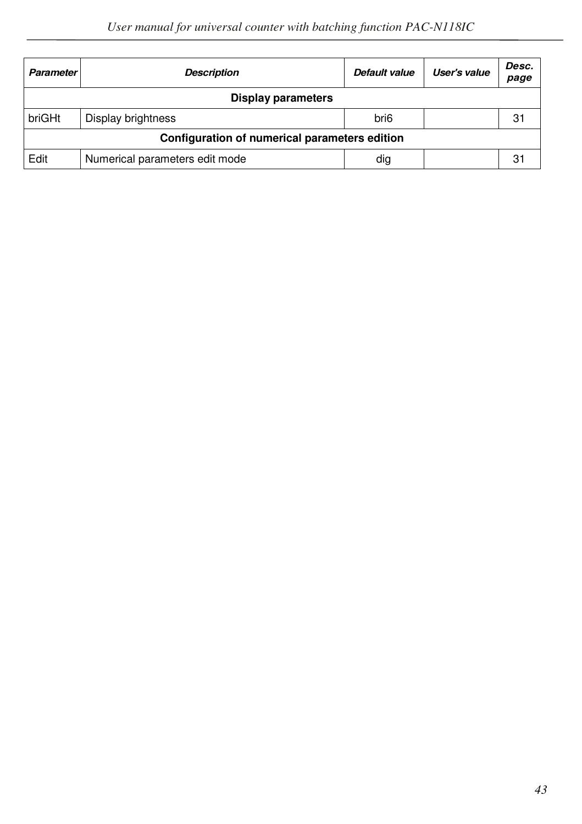| <b>Parameter</b> | <b>Description</b>                            | Default value    | User's value | Desc.<br>page |  |  |  |
|------------------|-----------------------------------------------|------------------|--------------|---------------|--|--|--|
|                  | <b>Display parameters</b>                     |                  |              |               |  |  |  |
| briGHt           | Display brightness                            | bri <sub>6</sub> |              | 31            |  |  |  |
|                  | Configuration of numerical parameters edition |                  |              |               |  |  |  |
| Edit             | Numerical parameters edit mode                | dig              |              | 31            |  |  |  |